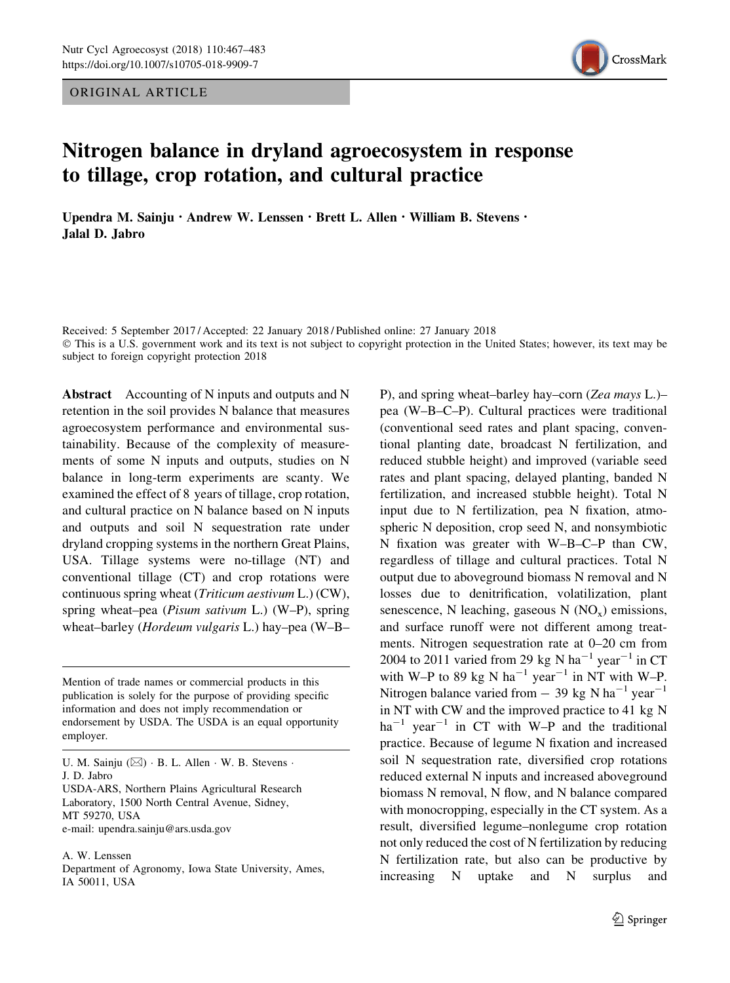ORIGINAL ARTICLE



# Nitrogen balance in dryland agroecosystem in response to tillage, crop rotation, and cultural practice

Upendra M. Sainju · Andrew W. Lenssen · Brett L. Allen · William B. Stevens · Jalal D. Jabro

Received: 5 September 2017 / Accepted: 22 January 2018 / Published online: 27 January 2018 - This is a U.S. government work and its text is not subject to copyright protection in the United States; however, its text may be subject to foreign copyright protection 2018

Abstract Accounting of N inputs and outputs and N retention in the soil provides N balance that measures agroecosystem performance and environmental sustainability. Because of the complexity of measurements of some N inputs and outputs, studies on N balance in long-term experiments are scanty. We examined the effect of 8 years of tillage, crop rotation, and cultural practice on N balance based on N inputs and outputs and soil N sequestration rate under dryland cropping systems in the northern Great Plains, USA. Tillage systems were no-tillage (NT) and conventional tillage (CT) and crop rotations were continuous spring wheat (Triticum aestivum L.) (CW), spring wheat–pea (Pisum sativum L.) (W–P), spring wheat–barley (Hordeum vulgaris L.) hay–pea (W–B–

Mention of trade names or commercial products in this publication is solely for the purpose of providing specific information and does not imply recommendation or endorsement by USDA. The USDA is an equal opportunity employer.

U. M. Sainju  $(\boxtimes) \cdot B$ . L. Allen  $\cdot W$ . B. Stevens  $\cdot$ J. D. Jabro USDA-ARS, Northern Plains Agricultural Research Laboratory, 1500 North Central Avenue, Sidney, MT 59270, USA e-mail: upendra.sainju@ars.usda.gov

A. W. Lenssen

Department of Agronomy, Iowa State University, Ames, IA 50011, USA

P), and spring wheat–barley hay–corn (Zea mays L.)– pea (W–B–C–P). Cultural practices were traditional (conventional seed rates and plant spacing, conventional planting date, broadcast N fertilization, and reduced stubble height) and improved (variable seed rates and plant spacing, delayed planting, banded N fertilization, and increased stubble height). Total N input due to N fertilization, pea N fixation, atmospheric N deposition, crop seed N, and nonsymbiotic N fixation was greater with W–B–C–P than CW, regardless of tillage and cultural practices. Total N output due to aboveground biomass N removal and N losses due to denitrification, volatilization, plant senescence, N leaching, gaseous  $N (NO<sub>x</sub>)$  emissions, and surface runoff were not different among treatments. Nitrogen sequestration rate at 0–20 cm from 2004 to 2011 varied from 29 kg N ha<sup>-1</sup> year<sup>-1</sup> in CT with W–P to 89 kg N ha<sup>-1</sup> year<sup>-1</sup> in NT with W–P. Nitrogen balance varied from  $-$  39 kg N ha<sup>-1</sup> year<sup>-1</sup> in NT with CW and the improved practice to 41 kg N  $ha^{-1}$  year<sup>-1</sup> in CT with W-P and the traditional practice. Because of legume N fixation and increased soil N sequestration rate, diversified crop rotations reduced external N inputs and increased aboveground biomass N removal, N flow, and N balance compared with monocropping, especially in the CT system. As a result, diversified legume–nonlegume crop rotation not only reduced the cost of N fertilization by reducing N fertilization rate, but also can be productive by increasing N uptake and N surplus and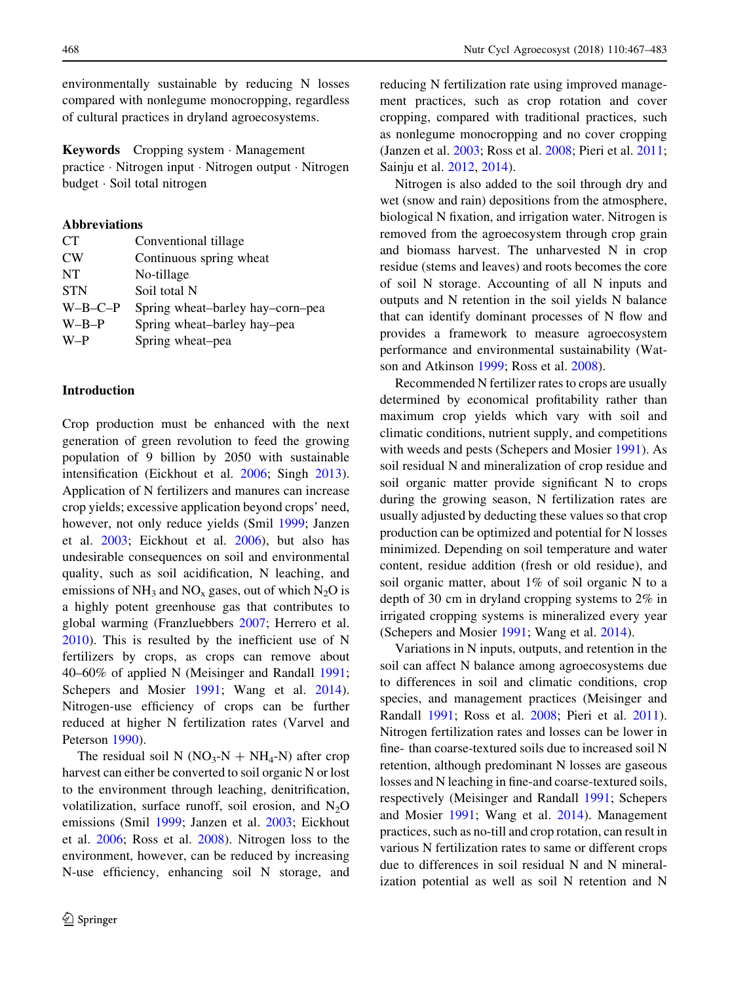environmentally sustainable by reducing N losses compared with nonlegume monocropping, regardless of cultural practices in dryland agroecosystems.

Keywords Cropping system - Management practice - Nitrogen input - Nitrogen output - Nitrogen budget - Soil total nitrogen

# Abbreviations

| Conventional tillage             |
|----------------------------------|
| Continuous spring wheat          |
| No-tillage                       |
| Soil total N                     |
| Spring wheat-barley hay-corn-pea |
| Spring wheat-barley hay-pea      |
| Spring wheat-pea                 |
|                                  |

# Introduction

Crop production must be enhanced with the next generation of green revolution to feed the growing population of 9 billion by 2050 with sustainable intensification (Eickhout et al. [2006](#page-15-0); Singh [2013](#page-16-0)). Application of N fertilizers and manures can increase crop yields; excessive application beyond crops' need, however, not only reduce yields (Smil [1999;](#page-16-0) Janzen et al. [2003;](#page-16-0) Eickhout et al. [2006](#page-15-0)), but also has undesirable consequences on soil and environmental quality, such as soil acidification, N leaching, and emissions of  $NH_3$  and  $NO_x$  gases, out of which  $N_2O$  is a highly potent greenhouse gas that contributes to global warming (Franzluebbers [2007](#page-15-0); Herrero et al. [2010\)](#page-15-0). This is resulted by the inefficient use of N fertilizers by crops, as crops can remove about 40–60% of applied N (Meisinger and Randall [1991](#page-16-0); Schepers and Mosier [1991;](#page-16-0) Wang et al. [2014](#page-16-0)). Nitrogen-use efficiency of crops can be further reduced at higher N fertilization rates (Varvel and Peterson [1990\)](#page-16-0).

The residual soil N ( $NO_3-N + NH_4-N$ ) after crop harvest can either be converted to soil organic N or lost to the environment through leaching, denitrification, volatilization, surface runoff, soil erosion, and  $N_2O$ emissions (Smil [1999](#page-16-0); Janzen et al. [2003](#page-16-0); Eickhout et al. [2006](#page-15-0); Ross et al. [2008](#page-16-0)). Nitrogen loss to the environment, however, can be reduced by increasing N-use efficiency, enhancing soil N storage, and reducing N fertilization rate using improved management practices, such as crop rotation and cover cropping, compared with traditional practices, such as nonlegume monocropping and no cover cropping (Janzen et al. [2003;](#page-16-0) Ross et al. [2008;](#page-16-0) Pieri et al. [2011](#page-16-0); Sainju et al. [2012,](#page-16-0) [2014](#page-16-0)).

Nitrogen is also added to the soil through dry and wet (snow and rain) depositions from the atmosphere, biological N fixation, and irrigation water. Nitrogen is removed from the agroecosystem through crop grain and biomass harvest. The unharvested N in crop residue (stems and leaves) and roots becomes the core of soil N storage. Accounting of all N inputs and outputs and N retention in the soil yields N balance that can identify dominant processes of N flow and provides a framework to measure agroecosystem performance and environmental sustainability (Watson and Atkinson [1999](#page-16-0); Ross et al. [2008](#page-16-0)).

Recommended N fertilizer rates to crops are usually determined by economical profitability rather than maximum crop yields which vary with soil and climatic conditions, nutrient supply, and competitions with weeds and pests (Schepers and Mosier [1991](#page-16-0)). As soil residual N and mineralization of crop residue and soil organic matter provide significant N to crops during the growing season, N fertilization rates are usually adjusted by deducting these values so that crop production can be optimized and potential for N losses minimized. Depending on soil temperature and water content, residue addition (fresh or old residue), and soil organic matter, about 1% of soil organic N to a depth of 30 cm in dryland cropping systems to 2% in irrigated cropping systems is mineralized every year (Schepers and Mosier [1991](#page-16-0); Wang et al. [2014](#page-16-0)).

Variations in N inputs, outputs, and retention in the soil can affect N balance among agroecosystems due to differences in soil and climatic conditions, crop species, and management practices (Meisinger and Randall [1991;](#page-16-0) Ross et al. [2008;](#page-16-0) Pieri et al. [2011](#page-16-0)). Nitrogen fertilization rates and losses can be lower in fine- than coarse-textured soils due to increased soil N retention, although predominant N losses are gaseous losses and N leaching in fine-and coarse-textured soils, respectively (Meisinger and Randall [1991;](#page-16-0) Schepers and Mosier [1991](#page-16-0); Wang et al. [2014\)](#page-16-0). Management practices, such as no-till and crop rotation, can result in various N fertilization rates to same or different crops due to differences in soil residual N and N mineralization potential as well as soil N retention and N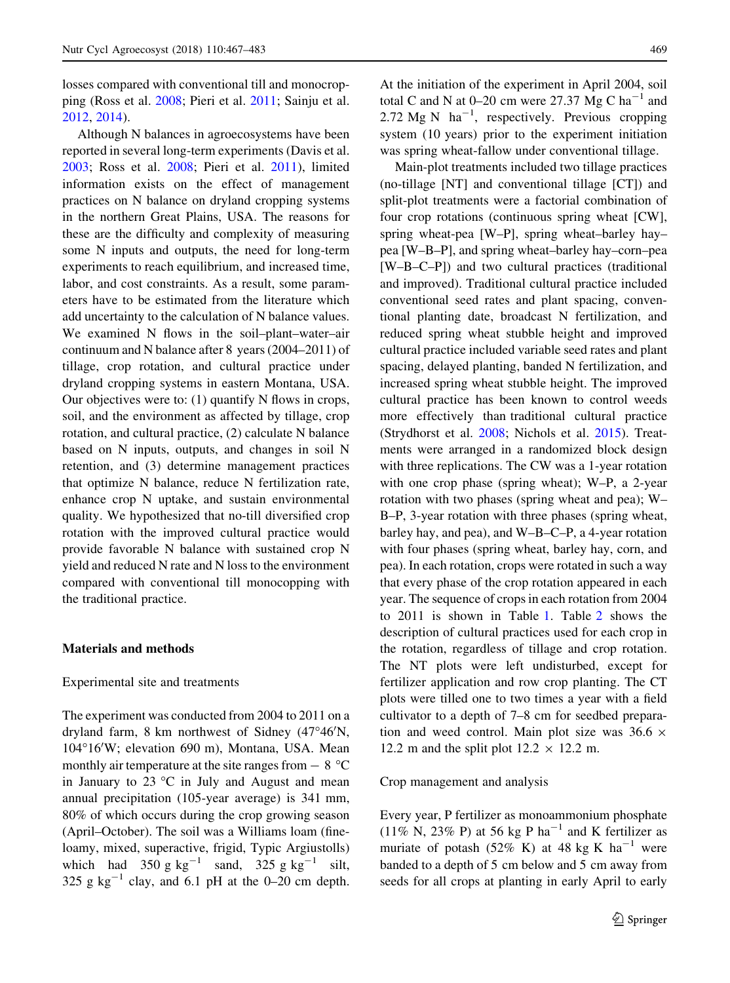losses compared with conventional till and monocropping (Ross et al. [2008;](#page-16-0) Pieri et al. [2011;](#page-16-0) Sainju et al. [2012,](#page-16-0) [2014](#page-16-0)).

Although N balances in agroecosystems have been reported in several long-term experiments (Davis et al. [2003;](#page-15-0) Ross et al. [2008](#page-16-0); Pieri et al. [2011](#page-16-0)), limited information exists on the effect of management practices on N balance on dryland cropping systems in the northern Great Plains, USA. The reasons for these are the difficulty and complexity of measuring some N inputs and outputs, the need for long-term experiments to reach equilibrium, and increased time, labor, and cost constraints. As a result, some parameters have to be estimated from the literature which add uncertainty to the calculation of N balance values. We examined N flows in the soil–plant–water–air continuum and N balance after 8 years (2004–2011) of tillage, crop rotation, and cultural practice under dryland cropping systems in eastern Montana, USA. Our objectives were to: (1) quantify N flows in crops, soil, and the environment as affected by tillage, crop rotation, and cultural practice, (2) calculate N balance based on N inputs, outputs, and changes in soil N retention, and (3) determine management practices that optimize N balance, reduce N fertilization rate, enhance crop N uptake, and sustain environmental quality. We hypothesized that no-till diversified crop rotation with the improved cultural practice would provide favorable N balance with sustained crop N yield and reduced N rate and N loss to the environment compared with conventional till monocopping with the traditional practice.

#### Materials and methods

#### Experimental site and treatments

The experiment was conducted from 2004 to 2011 on a dryland farm, 8 km northwest of Sidney (47°46'N, 104°16'W; elevation 690 m), Montana, USA. Mean monthly air temperature at the site ranges from  $-8$  °C in January to  $23 \text{ °C}$  in July and August and mean annual precipitation (105-year average) is 341 mm, 80% of which occurs during the crop growing season (April–October). The soil was a Williams loam (fineloamy, mixed, superactive, frigid, Typic Argiustolls) which had  $350 \text{ g kg}^{-1}$  sand,  $325 \text{ g kg}^{-1}$  silt, 325 g  $kg^{-1}$  clay, and 6.1 pH at the 0–20 cm depth. At the initiation of the experiment in April 2004, soil total C and N at  $0-20$  cm were 27.37 Mg C ha<sup>-1</sup> and 2.72 Mg N  $\text{ ha}^{-1}$ , respectively. Previous cropping system (10 years) prior to the experiment initiation was spring wheat-fallow under conventional tillage.

Main-plot treatments included two tillage practices (no-tillage [NT] and conventional tillage [CT]) and split-plot treatments were a factorial combination of four crop rotations (continuous spring wheat [CW], spring wheat-pea [W–P], spring wheat–barley hay– pea [W–B–P], and spring wheat–barley hay–corn–pea [W–B–C–P]) and two cultural practices (traditional and improved). Traditional cultural practice included conventional seed rates and plant spacing, conventional planting date, broadcast N fertilization, and reduced spring wheat stubble height and improved cultural practice included variable seed rates and plant spacing, delayed planting, banded N fertilization, and increased spring wheat stubble height. The improved cultural practice has been known to control weeds more effectively than traditional cultural practice (Strydhorst et al. [2008;](#page-16-0) Nichols et al. [2015\)](#page-16-0). Treatments were arranged in a randomized block design with three replications. The CW was a 1-year rotation with one crop phase (spring wheat); W–P, a 2-year rotation with two phases (spring wheat and pea); W– B–P, 3-year rotation with three phases (spring wheat, barley hay, and pea), and W–B–C–P, a 4-year rotation with four phases (spring wheat, barley hay, corn, and pea). In each rotation, crops were rotated in such a way that every phase of the crop rotation appeared in each year. The sequence of crops in each rotation from 2004 to 2011 is shown in Table [1.](#page-3-0) Table [2](#page-3-0) shows the description of cultural practices used for each crop in the rotation, regardless of tillage and crop rotation. The NT plots were left undisturbed, except for fertilizer application and row crop planting. The CT plots were tilled one to two times a year with a field cultivator to a depth of 7–8 cm for seedbed preparation and weed control. Main plot size was  $36.6 \times$ 12.2 m and the split plot  $12.2 \times 12.2$  m.

Crop management and analysis

Every year, P fertilizer as monoammonium phosphate (11% N, 23% P) at 56 kg P ha<sup>-1</sup> and K fertilizer as muriate of potash (52% K) at 48 kg K  $ha^{-1}$  were banded to a depth of 5 cm below and 5 cm away from seeds for all crops at planting in early April to early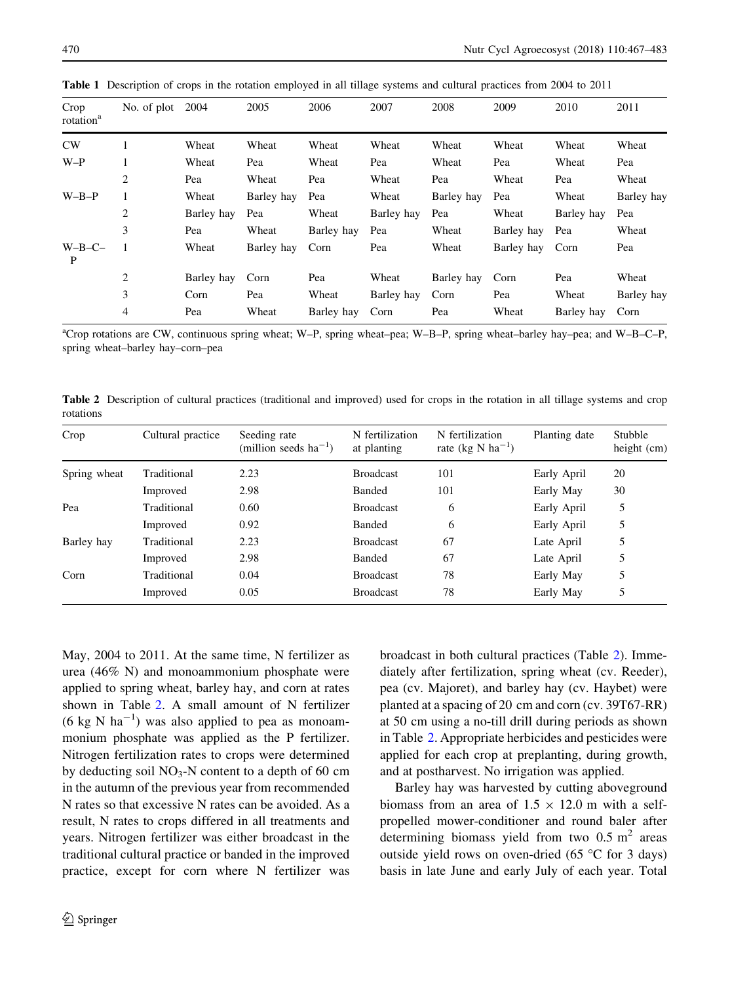| Crop<br>rotation <sup>a</sup> | No. of plot | 2004       | 2005       | 2006       | 2007       | 2008       | 2009       | 2010       | 2011       |
|-------------------------------|-------------|------------|------------|------------|------------|------------|------------|------------|------------|
| CW                            |             | Wheat      | Wheat      | Wheat      | Wheat      | Wheat      | Wheat      | Wheat      | Wheat      |
| $W-P$                         |             | Wheat      | Pea        | Wheat      | Pea        | Wheat      | Pea        | Wheat      | Pea        |
|                               | 2           | Pea        | Wheat      | Pea        | Wheat      | Pea        | Wheat      | Pea        | Wheat      |
| $W-B-P$                       |             | Wheat      | Barley hay | Pea        | Wheat      | Barley hay | Pea        | Wheat      | Barley hay |
|                               | 2           | Barley hay | Pea        | Wheat      | Barley hay | Pea        | Wheat      | Barley hay | Pea        |
|                               | 3           | Pea        | Wheat      | Barley hay | Pea        | Wheat      | Barley hay | Pea        | Wheat      |
| $W-B-C-$<br>P                 |             | Wheat      | Barley hay | Corn       | Pea        | Wheat      | Barley hay | Corn       | Pea        |
|                               | 2           | Barley hay | Corn       | Pea        | Wheat      | Barley hay | Corn       | Pea        | Wheat      |
|                               | 3           | Corn       | Pea        | Wheat      | Barley hay | Corn       | Pea        | Wheat      | Barley hay |
|                               | 4           | Pea        | Wheat      | Barley hay | Corn       | Pea        | Wheat      | Barley hay | Corn       |

<span id="page-3-0"></span>Table 1 Description of crops in the rotation employed in all tillage systems and cultural practices from 2004 to 2011

a Crop rotations are CW, continuous spring wheat; W–P, spring wheat–pea; W–B–P, spring wheat–barley hay–pea; and W–B–C–P, spring wheat–barley hay–corn–pea

Table 2 Description of cultural practices (traditional and improved) used for crops in the rotation in all tillage systems and crop rotations

| Crop         | Cultural practice | Seeding rate<br>(million seeds $ha^{-1}$ ) | N fertilization<br>at planting | N fertilization<br>rate (kg N ha <sup>-1</sup> ) | Planting date | Stubble<br>height $(cm)$ |
|--------------|-------------------|--------------------------------------------|--------------------------------|--------------------------------------------------|---------------|--------------------------|
| Spring wheat | Traditional       | 2.23                                       | <b>Broadcast</b>               | 101                                              | Early April   | 20                       |
|              | Improved          | 2.98                                       | Banded                         | 101                                              | Early May     | 30                       |
| Pea          | Traditional       | 0.60                                       | <b>Broadcast</b>               | 6                                                | Early April   | 5                        |
|              | Improved          | 0.92                                       | Banded                         | 6                                                | Early April   | 5                        |
| Barley hay   | Traditional       | 2.23                                       | <b>Broadcast</b>               | 67                                               | Late April    | 5                        |
|              | Improved          | 2.98                                       | Banded                         | 67                                               | Late April    | 5                        |
| Corn         | Traditional       | 0.04                                       | <b>Broadcast</b>               | 78                                               | Early May     | 5                        |
|              | Improved          | 0.05                                       | <b>Broadcast</b>               | 78                                               | Early May     |                          |

May, 2004 to 2011. At the same time, N fertilizer as urea (46% N) and monoammonium phosphate were applied to spring wheat, barley hay, and corn at rates shown in Table 2. A small amount of N fertilizer  $(6 \text{ kg N} \text{ ha}^{-1})$  was also applied to pea as monoammonium phosphate was applied as the P fertilizer. Nitrogen fertilization rates to crops were determined by deducting soil  $NO_3-N$  content to a depth of 60 cm in the autumn of the previous year from recommended N rates so that excessive N rates can be avoided. As a result, N rates to crops differed in all treatments and years. Nitrogen fertilizer was either broadcast in the traditional cultural practice or banded in the improved practice, except for corn where N fertilizer was broadcast in both cultural practices (Table 2). Immediately after fertilization, spring wheat (cv. Reeder), pea (cv. Majoret), and barley hay (cv. Haybet) were planted at a spacing of 20 cm and corn (cv. 39T67-RR) at 50 cm using a no-till drill during periods as shown in Table 2. Appropriate herbicides and pesticides were applied for each crop at preplanting, during growth, and at postharvest. No irrigation was applied.

Barley hay was harvested by cutting aboveground biomass from an area of  $1.5 \times 12.0$  m with a selfpropelled mower-conditioner and round baler after determining biomass yield from two  $0.5 \text{ m}^2$  areas outside yield rows on oven-dried (65  $\degree$ C for 3 days) basis in late June and early July of each year. Total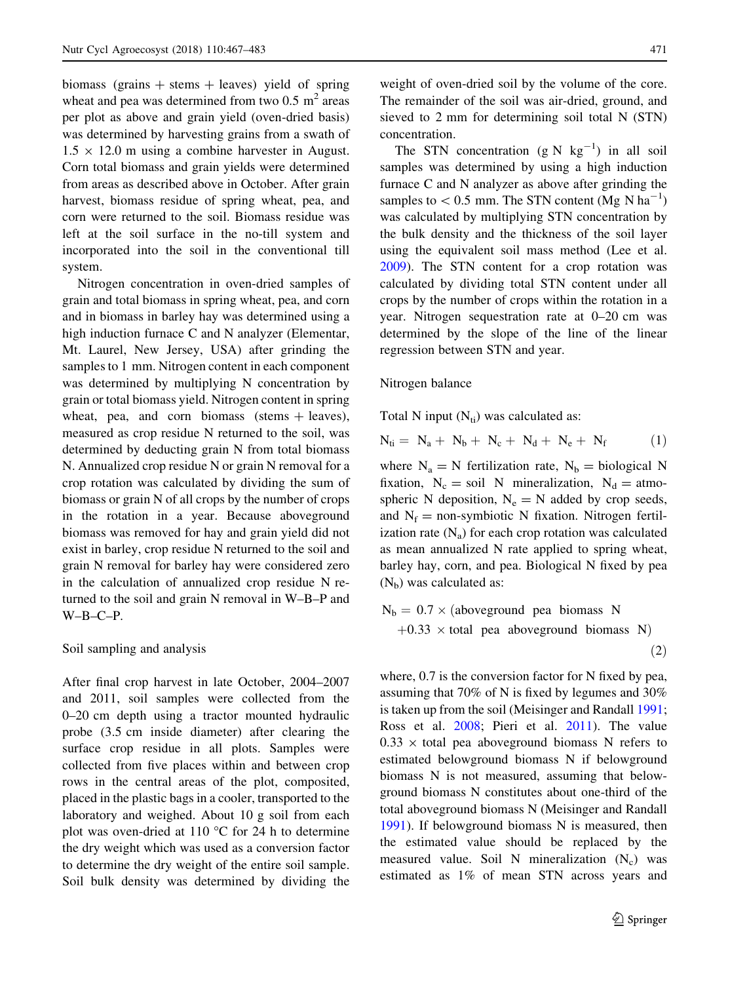biomass (grains  $+$  stems  $+$  leaves) yield of spring wheat and pea was determined from two  $0.5 \text{ m}^2$  areas per plot as above and grain yield (oven-dried basis) was determined by harvesting grains from a swath of  $1.5 \times 12.0$  m using a combine harvester in August. Corn total biomass and grain yields were determined from areas as described above in October. After grain harvest, biomass residue of spring wheat, pea, and corn were returned to the soil. Biomass residue was left at the soil surface in the no-till system and incorporated into the soil in the conventional till system.

Nitrogen concentration in oven-dried samples of grain and total biomass in spring wheat, pea, and corn and in biomass in barley hay was determined using a high induction furnace C and N analyzer (Elementar, Mt. Laurel, New Jersey, USA) after grinding the samples to 1 mm. Nitrogen content in each component was determined by multiplying N concentration by grain or total biomass yield. Nitrogen content in spring wheat, pea, and corn biomass (stems  $+$  leaves), measured as crop residue N returned to the soil, was determined by deducting grain N from total biomass N. Annualized crop residue N or grain N removal for a crop rotation was calculated by dividing the sum of biomass or grain N of all crops by the number of crops in the rotation in a year. Because aboveground biomass was removed for hay and grain yield did not exist in barley, crop residue N returned to the soil and grain N removal for barley hay were considered zero in the calculation of annualized crop residue N returned to the soil and grain N removal in W–B–P and  $W-B-C-P.$ 

#### Soil sampling and analysis

After final crop harvest in late October, 2004–2007 and 2011, soil samples were collected from the 0–20 cm depth using a tractor mounted hydraulic probe (3.5 cm inside diameter) after clearing the surface crop residue in all plots. Samples were collected from five places within and between crop rows in the central areas of the plot, composited, placed in the plastic bags in a cooler, transported to the laboratory and weighed. About 10 g soil from each plot was oven-dried at 110  $^{\circ}$ C for 24 h to determine the dry weight which was used as a conversion factor to determine the dry weight of the entire soil sample. Soil bulk density was determined by dividing the

weight of oven-dried soil by the volume of the core. The remainder of the soil was air-dried, ground, and sieved to 2 mm for determining soil total N (STN) concentration.

The STN concentration  $(g N kg^{-1})$  in all soil samples was determined by using a high induction furnace C and N analyzer as above after grinding the samples to  $< 0.5$  mm. The STN content (Mg N ha<sup>-1</sup>) was calculated by multiplying STN concentration by the bulk density and the thickness of the soil layer using the equivalent soil mass method (Lee et al. [2009\)](#page-16-0). The STN content for a crop rotation was calculated by dividing total STN content under all crops by the number of crops within the rotation in a year. Nitrogen sequestration rate at 0–20 cm was determined by the slope of the line of the linear regression between STN and year.

#### Nitrogen balance

Total N input  $(N_{ti})$  was calculated as:

$$
N_{ti} = N_a + N_b + N_c + N_d + N_e + N_f \tag{1}
$$

where  $N_a = N$  fertilization rate,  $N_b = \text{biological N}$ fixation,  $N_c = \text{soil } N$  mineralization,  $N_d = \text{atmo}$ spheric N deposition,  $N_e = N$  added by crop seeds, and  $N_f$  = non-symbiotic N fixation. Nitrogen fertilization rate  $(N_a)$  for each crop rotation was calculated as mean annualized N rate applied to spring wheat, barley hay, corn, and pea. Biological N fixed by pea  $(N<sub>b</sub>)$  was calculated as:

$$
N_b = 0.7 \times (aboveground \text{ pea} \text{ biomass} \text{N} + 0.33 \times \text{total} \text{pea} \text{ aboveground} \text{ biomass} \text{N})
$$
\n(2)

where,  $0.7$  is the conversion factor for N fixed by pea, assuming that 70% of N is fixed by legumes and 30% is taken up from the soil (Meisinger and Randall [1991;](#page-16-0) Ross et al. [2008](#page-16-0); Pieri et al. [2011](#page-16-0)). The value  $0.33 \times$  total pea aboveground biomass N refers to estimated belowground biomass N if belowground biomass N is not measured, assuming that belowground biomass N constitutes about one-third of the total aboveground biomass N (Meisinger and Randall [1991\)](#page-16-0). If belowground biomass N is measured, then the estimated value should be replaced by the measured value. Soil N mineralization  $(N_c)$  was estimated as 1% of mean STN across years and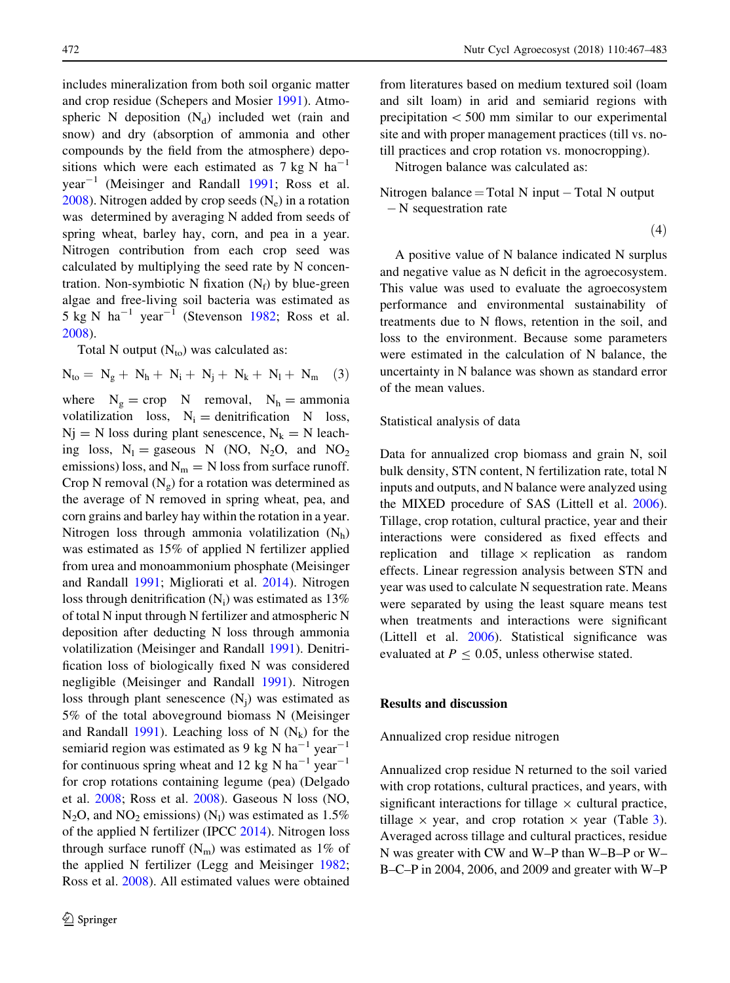includes mineralization from both soil organic matter and crop residue (Schepers and Mosier [1991](#page-16-0)). Atmospheric N deposition  $(N_d)$  included wet (rain and snow) and dry (absorption of ammonia and other compounds by the field from the atmosphere) depositions which were each estimated as 7 kg N  $ha^{-1}$  $year^{-1}$  (Meisinger and Randall [1991;](#page-16-0) Ross et al. [2008\)](#page-16-0). Nitrogen added by crop seeds  $(N_e)$  in a rotation was determined by averaging N added from seeds of spring wheat, barley hay, corn, and pea in a year. Nitrogen contribution from each crop seed was calculated by multiplying the seed rate by N concentration. Non-symbiotic N fixation  $(N_f)$  by blue-green algae and free-living soil bacteria was estimated as 5 kg N  $ha^{-1}$  year<sup>-1</sup> (Stevenson [1982](#page-16-0); Ross et al. [2008\)](#page-16-0).

Total N output  $(N_{\text{to}})$  was calculated as:

 $N_{\text{to}} = N_{\text{p}} + N_{\text{h}} + N_{\text{i}} + N_{\text{i}} + N_{\text{k}} + N_{\text{l}} + N_{\text{m}}$  (3)

where  $N_g =$  crop N removal,  $N_h =$  ammonia volatilization loss,  $N_i =$  denitrification N loss,  $Ni = N$  loss during plant senescence,  $N_k = N$  leaching loss,  $N_1$  = gaseous N (NO, N<sub>2</sub>O, and NO<sub>2</sub> emissions) loss, and  $N_m = N$  loss from surface runoff. Crop N removal  $(N_g)$  for a rotation was determined as the average of N removed in spring wheat, pea, and corn grains and barley hay within the rotation in a year. Nitrogen loss through ammonia volatilization  $(N_h)$ was estimated as 15% of applied N fertilizer applied from urea and monoammonium phosphate (Meisinger and Randall [1991](#page-16-0); Migliorati et al. [2014\)](#page-16-0). Nitrogen loss through denitrification  $(N_i)$  was estimated as 13% of total N input through N fertilizer and atmospheric N deposition after deducting N loss through ammonia volatilization (Meisinger and Randall [1991\)](#page-16-0). Denitrification loss of biologically fixed N was considered negligible (Meisinger and Randall [1991\)](#page-16-0). Nitrogen loss through plant senescence  $(N_i)$  was estimated as 5% of the total aboveground biomass N (Meisinger and Randall [1991\)](#page-16-0). Leaching loss of N  $(N_k)$  for the semiarid region was estimated as 9 kg N ha<sup>-1</sup> year<sup>-1</sup> for continuous spring wheat and 12 kg N ha<sup>-1</sup> year<sup>-1</sup> for crop rotations containing legume (pea) (Delgado et al. [2008](#page-15-0); Ross et al. [2008](#page-16-0)). Gaseous N loss (NO,  $N_2O$ , and  $NO_2$  emissions)  $(N_1)$  was estimated as 1.5% of the applied N fertilizer (IPCC [2014](#page-15-0)). Nitrogen loss through surface runoff  $(N_m)$  was estimated as 1% of the applied N fertilizer (Legg and Meisinger [1982](#page-16-0); Ross et al. [2008\)](#page-16-0). All estimated values were obtained from literatures based on medium textured soil (loam and silt loam) in arid and semiarid regions with precipitation  $< 500$  mm similar to our experimental site and with proper management practices (till vs. notill practices and crop rotation vs. monocropping).

Nitrogen balance was calculated as:

Nitrogen balance = Total N input  $-$  Total N output N sequestration rate

$$
^{(4)}
$$

A positive value of N balance indicated N surplus and negative value as N deficit in the agroecosystem. This value was used to evaluate the agroecosystem performance and environmental sustainability of treatments due to N flows, retention in the soil, and loss to the environment. Because some parameters were estimated in the calculation of N balance, the uncertainty in N balance was shown as standard error of the mean values.

#### Statistical analysis of data

Data for annualized crop biomass and grain N, soil bulk density, STN content, N fertilization rate, total N inputs and outputs, and N balance were analyzed using the MIXED procedure of SAS (Littell et al. [2006](#page-16-0)). Tillage, crop rotation, cultural practice, year and their interactions were considered as fixed effects and replication and tillage  $\times$  replication as random effects. Linear regression analysis between STN and year was used to calculate N sequestration rate. Means were separated by using the least square means test when treatments and interactions were significant (Littell et al. [2006\)](#page-16-0). Statistical significance was evaluated at  $P \le 0.05$ , unless otherwise stated.

#### Results and discussion

#### Annualized crop residue nitrogen

Annualized crop residue N returned to the soil varied with crop rotations, cultural practices, and years, with significant interactions for tillage  $\times$  cultural practice, tillage  $\times$  year, and crop rotation  $\times$  year (Table [3](#page-7-0)). Averaged across tillage and cultural practices, residue N was greater with CW and W–P than W–B–P or W– B–C–P in 2004, 2006, and 2009 and greater with W–P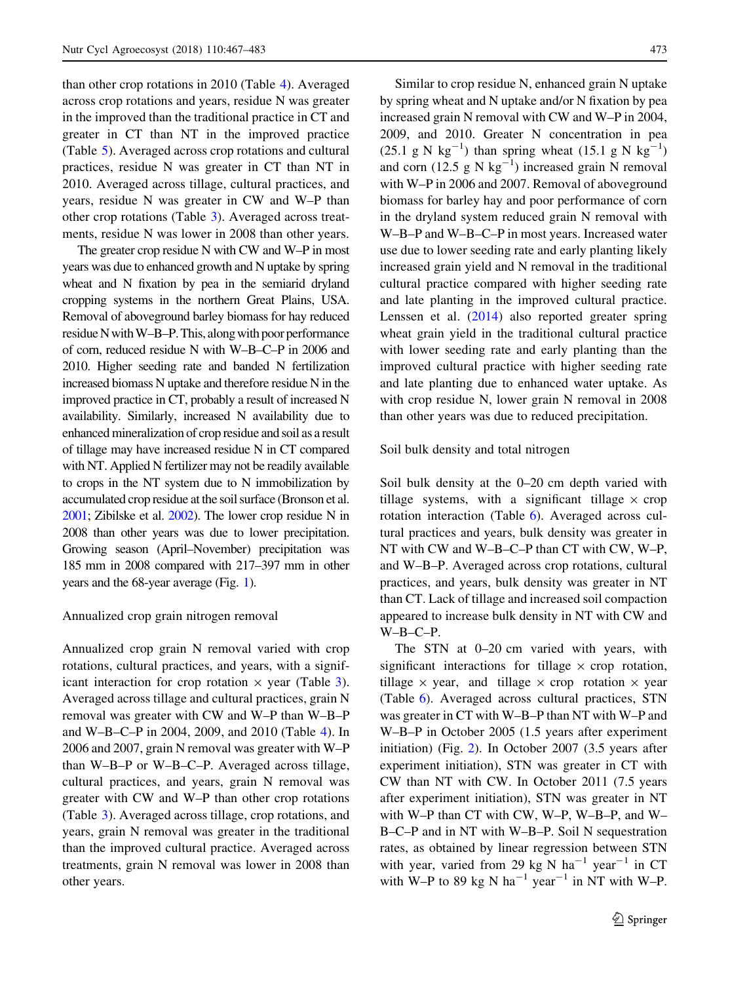than other crop rotations in 2010 (Table [4\)](#page-8-0). Averaged across crop rotations and years, residue N was greater in the improved than the traditional practice in CT and greater in CT than NT in the improved practice (Table [5](#page-8-0)). Averaged across crop rotations and cultural practices, residue N was greater in CT than NT in 2010. Averaged across tillage, cultural practices, and years, residue N was greater in CW and W–P than other crop rotations (Table [3\)](#page-7-0). Averaged across treatments, residue N was lower in 2008 than other years.

The greater crop residue N with CW and W–P in most years was due to enhanced growth and N uptake by spring wheat and N fixation by pea in the semiarid dryland cropping systems in the northern Great Plains, USA. Removal of aboveground barley biomass for hay reduced residue N with W–B–P. This, along with poor performance of corn, reduced residue N with W–B–C–P in 2006 and 2010. Higher seeding rate and banded N fertilization increased biomass N uptake and therefore residue N in the improved practice in CT, probably a result of increased N availability. Similarly, increased N availability due to enhanced mineralization of crop residue and soil as a result of tillage may have increased residue N in CT compared with NT. Applied N fertilizer may not be readily available to crops in the NT system due to N immobilization by accumulated crop residue at the soil surface (Bronson et al. [2001;](#page-15-0) Zibilske et al. [2002](#page-16-0)). The lower crop residue N in 2008 than other years was due to lower precipitation. Growing season (April–November) precipitation was 185 mm in 2008 compared with 217–397 mm in other years and the 68-year average (Fig. [1\)](#page-9-0).

#### Annualized crop grain nitrogen removal

Annualized crop grain N removal varied with crop rotations, cultural practices, and years, with a significant interaction for crop rotation  $\times$  year (Table [3](#page-7-0)). Averaged across tillage and cultural practices, grain N removal was greater with CW and W–P than W–B–P and W–B–C–P in 2004, 2009, and 2010 (Table [4](#page-8-0)). In 2006 and 2007, grain N removal was greater with W–P than W–B–P or W–B–C–P. Averaged across tillage, cultural practices, and years, grain N removal was greater with CW and W–P than other crop rotations (Table [3](#page-7-0)). Averaged across tillage, crop rotations, and years, grain N removal was greater in the traditional than the improved cultural practice. Averaged across treatments, grain N removal was lower in 2008 than other years.

Similar to crop residue N, enhanced grain N uptake by spring wheat and N uptake and/or N fixation by pea increased grain N removal with CW and W–P in 2004, 2009, and 2010. Greater N concentration in pea  $(25.1 \text{ g N kg}^{-1})$  than spring wheat  $(15.1 \text{ g N kg}^{-1})$ and corn  $(12.5 \text{ g N kg}^{-1})$  increased grain N removal with W–P in 2006 and 2007. Removal of aboveground biomass for barley hay and poor performance of corn in the dryland system reduced grain N removal with W–B–P and W–B–C–P in most years. Increased water use due to lower seeding rate and early planting likely increased grain yield and N removal in the traditional cultural practice compared with higher seeding rate and late planting in the improved cultural practice. Lenssen et al. ([2014\)](#page-16-0) also reported greater spring wheat grain yield in the traditional cultural practice with lower seeding rate and early planting than the improved cultural practice with higher seeding rate and late planting due to enhanced water uptake. As with crop residue N, lower grain N removal in 2008 than other years was due to reduced precipitation.

#### Soil bulk density and total nitrogen

Soil bulk density at the 0–20 cm depth varied with tillage systems, with a significant tillage  $\times$  crop rotation interaction (Table [6](#page-9-0)). Averaged across cultural practices and years, bulk density was greater in NT with CW and W–B–C–P than CT with CW, W–P, and W–B–P. Averaged across crop rotations, cultural practices, and years, bulk density was greater in NT than CT. Lack of tillage and increased soil compaction appeared to increase bulk density in NT with CW and W–B–C–P.

The STN at 0–20 cm varied with years, with significant interactions for tillage  $\times$  crop rotation, tillage  $\times$  year, and tillage  $\times$  crop rotation  $\times$  year (Table [6](#page-9-0)). Averaged across cultural practices, STN was greater in CT with W–B–P than NT with W–P and W–B–P in October 2005 (1.5 years after experiment initiation) (Fig. [2\)](#page-10-0). In October 2007 (3.5 years after experiment initiation), STN was greater in CT with CW than NT with CW. In October 2011 (7.5 years after experiment initiation), STN was greater in NT with W–P than CT with CW, W–P, W–B–P, and W– B–C–P and in NT with W–B–P. Soil N sequestration rates, as obtained by linear regression between STN with year, varied from 29 kg N  $ha^{-1}$  year<sup>-1</sup> in CT with W–P to 89 kg N ha<sup>-1</sup> year<sup>-1</sup> in NT with W–P.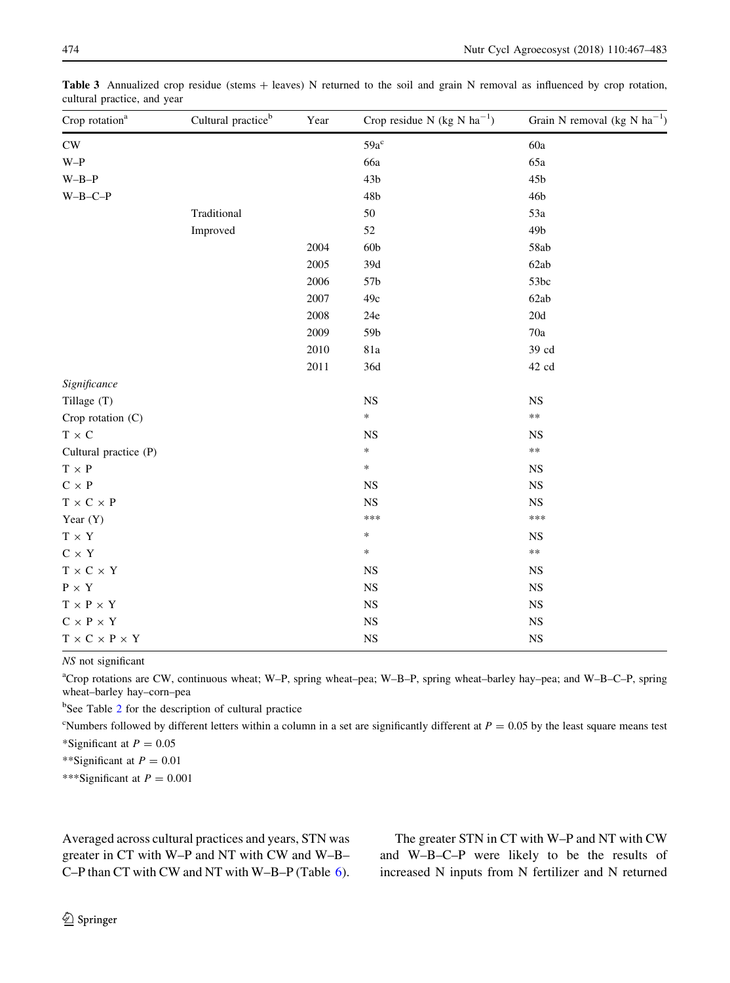| Crop rotation <sup>a</sup>           | Cultural practice <sup>b</sup> | Year | Crop residue N (kg N $ha^{-1}$ ) | Grain N removal (kg N $ha^{-1}$ ) |
|--------------------------------------|--------------------------------|------|----------------------------------|-----------------------------------|
| $\mathrm{CW}$                        |                                |      | $59a^c$                          | 60a                               |
| $W-P$                                |                                |      | 66a                              | 65a                               |
| $W-B-P$                              |                                |      | 43 <sub>b</sub>                  | 45b                               |
| $W-B-C-P$                            |                                |      | 48b                              | 46b                               |
|                                      | Traditional                    |      | 50                               | 53a                               |
|                                      | Improved                       |      | 52                               | 49 <sub>b</sub>                   |
|                                      |                                | 2004 | 60 <sub>b</sub>                  | 58ab                              |
|                                      |                                | 2005 | $39d$                            | 62ab                              |
|                                      |                                | 2006 | 57b                              | 53bc                              |
|                                      |                                | 2007 | 49c                              | 62ab                              |
|                                      |                                | 2008 | 24e                              | 20d                               |
|                                      |                                | 2009 | 59b                              | 70a                               |
|                                      |                                | 2010 | 81a                              | 39 cd                             |
|                                      |                                | 2011 | 36d                              | 42 cd                             |
| Significance                         |                                |      |                                  |                                   |
| Tillage (T)                          |                                |      | $_{\rm NS}$                      | $_{\rm NS}$                       |
| Crop rotation (C)                    |                                |      | $\ast$                           | $***$                             |
| $T$ $\times$ $C$                     |                                |      | <b>NS</b>                        | <b>NS</b>                         |
| Cultural practice (P)                |                                |      | *                                | $\ast\ast$                        |
| $T \times P$                         |                                |      | $\ast$                           | <b>NS</b>                         |
| $C \times P$                         |                                |      | <b>NS</b>                        | $_{\rm NS}$                       |
| $T$ $\times$ C $\times$ P            |                                |      | <b>NS</b>                        | $_{\rm NS}$                       |
| Year $(Y)$                           |                                |      | ***                              | ***                               |
| $T \times Y$                         |                                |      | $\ast$                           | <b>NS</b>                         |
| $C$ $\times$ $Y$                     |                                |      | $\ast$                           | $\ast\ast$                        |
| $T$ $\times$ C $\times$ Y            |                                |      | <b>NS</b>                        | $_{\rm NS}$                       |
| $\text{P}\,\times\,\text{Y}$         |                                |      | <b>NS</b>                        | $_{\rm NS}$                       |
| $T$ $\times$ P $\times$ Y            |                                |      | <b>NS</b>                        | $_{\rm NS}$                       |
| $C$ $\times$ P $\times$ Y            |                                |      | <b>NS</b>                        | $_{\rm NS}$                       |
| $T$ $\times$ C $\times$ P $\times$ Y |                                |      | <b>NS</b>                        | <b>NS</b>                         |

<span id="page-7-0"></span>Table 3 Annualized crop residue (stems + leaves) N returned to the soil and grain N removal as influenced by crop rotation, cultural practice, and year

NS not significant

a Crop rotations are CW, continuous wheat; W–P, spring wheat–pea; W–B–P, spring wheat–barley hay–pea; and W–B–C–P, spring wheat–barley hay–corn–pea

<sup>b</sup>See Table [2](#page-3-0) for the description of cultural practice

<sup>c</sup>Numbers followed by different letters within a column in a set are significantly different at  $P = 0.05$  by the least square means test

\*Significant at  $P = 0.05$ 

\*\*Significant at  $P = 0.01$ 

\*\*\*Significant at  $P = 0.001$ 

Averaged across cultural practices and years, STN was greater in CT with W–P and NT with CW and W–B– C–P than CT with CW and NT with W–B–P (Table [6](#page-9-0)).

The greater STN in CT with W–P and NT with CW and W–B–C–P were likely to be the results of increased N inputs from N fertilizer and N returned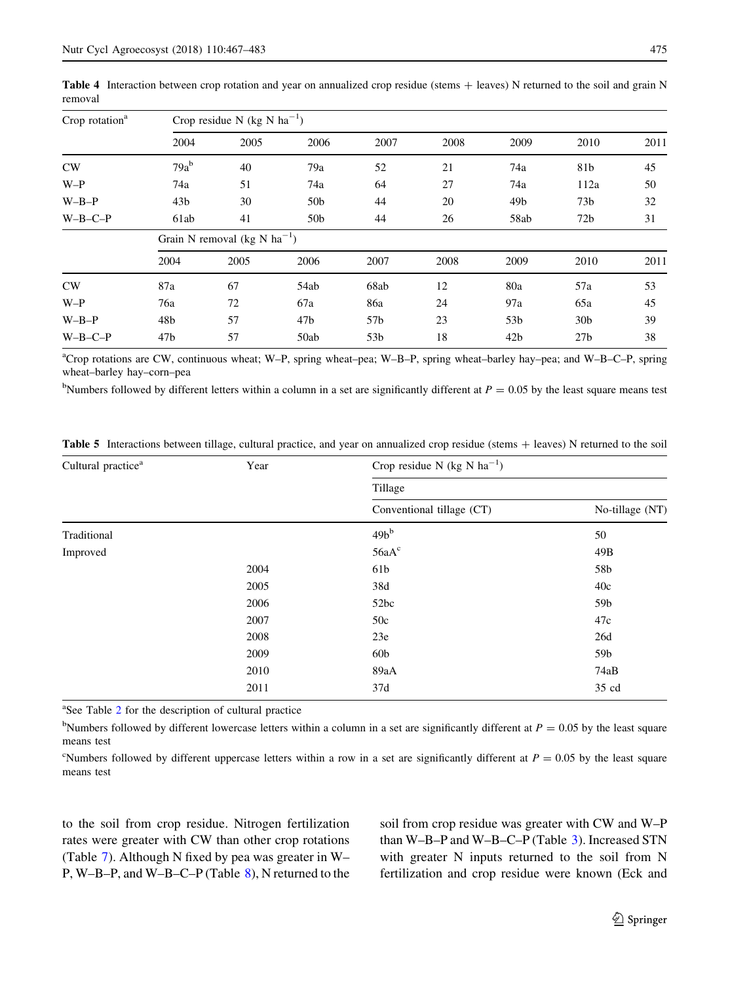| Crop rotation <sup>a</sup> | Crop residue N (kg N $ha^{-1}$ ) |                                          |                 |                 |      |                 |                 |      |  |  |  |
|----------------------------|----------------------------------|------------------------------------------|-----------------|-----------------|------|-----------------|-----------------|------|--|--|--|
|                            | 2004                             | 2005                                     | 2006            | 2007            | 2008 | 2009            | 2010            | 2011 |  |  |  |
| CW                         | $79a^b$                          | 40                                       | 79a             | 52              | 21   | 74a             | 81b             | 45   |  |  |  |
| $W-P$                      | 74a                              | 51                                       | 74a             | 64              | 27   | 74a             | 112a            | 50   |  |  |  |
| $W-B-P$                    | 43 <sub>b</sub>                  | 30                                       | 50 <sub>b</sub> | 44              | 20   | 49 <sub>b</sub> | 73b             | 32   |  |  |  |
| $W-B-C-P$                  | 61ab                             | 41                                       | 50 <sub>b</sub> | 44              | 26   | 58ab            | 72 <sub>b</sub> | 31   |  |  |  |
|                            |                                  | Grain N removal (kg N ha <sup>-1</sup> ) |                 |                 |      |                 |                 |      |  |  |  |
|                            | 2004                             | 2005                                     | 2006            | 2007            | 2008 | 2009            | 2010            | 2011 |  |  |  |
| CW                         | 87a                              | 67                                       | 54ab            | 68ab            | 12   | 80a             | 57a             | 53   |  |  |  |
| $W-P$                      | 76a                              | 72                                       | 67a             | 86a             | 24   | 97a             | 65a             | 45   |  |  |  |
| $W-B-P$                    | 48b                              | 57                                       | 47b             | 57b             | 23   | 53b             | 30 <sub>b</sub> | 39   |  |  |  |
| $W-B-C-P$                  | 47 <sub>b</sub>                  | 57                                       | 50ab            | 53 <sub>b</sub> | 18   | 42 <sub>b</sub> | 27 <sub>b</sub> | 38   |  |  |  |

<span id="page-8-0"></span>**Table 4** Interaction between crop rotation and year on annualized crop residue (stems  $+$  leaves) N returned to the soil and grain N removal

a Crop rotations are CW, continuous wheat; W–P, spring wheat–pea; W–B–P, spring wheat–barley hay–pea; and W–B–C–P, spring wheat–barley hay–corn–pea

<sup>b</sup>Numbers followed by different letters within a column in a set are significantly different at  $P = 0.05$  by the least square means test

| Cultural practice <sup>a</sup>                                           | Year | Crop residue N (kg N $ha^{-1}$ )<br>Tillage |                 |  |  |  |
|--------------------------------------------------------------------------|------|---------------------------------------------|-----------------|--|--|--|
|                                                                          |      |                                             |                 |  |  |  |
|                                                                          |      | Conventional tillage (CT)                   | No-tillage (NT) |  |  |  |
| Traditional                                                              |      | $49b^b$                                     | 50              |  |  |  |
| Improved<br>2004<br>2005<br>2006<br>2007<br>2008<br>2009<br>2010<br>2011 |      | 56aA <sup>c</sup>                           | 49B             |  |  |  |
|                                                                          |      | 61b                                         | 58b             |  |  |  |
|                                                                          |      | 38d                                         | 40c             |  |  |  |
|                                                                          |      | 52bc                                        | 59b             |  |  |  |
|                                                                          |      | 50c                                         | 47c             |  |  |  |
|                                                                          |      | 23e                                         | 26d             |  |  |  |
|                                                                          |      | 60 <sub>b</sub>                             | 59b             |  |  |  |
|                                                                          |      | 89aA                                        | 74aB            |  |  |  |
|                                                                          |      | 37d                                         | 35 cd           |  |  |  |

Table 5 Interactions between tillage, cultural practice, and year on annualized crop residue (stems + leaves) N returned to the soil

<sup>a</sup>See Table [2](#page-3-0) for the description of cultural practice

<sup>b</sup>Numbers followed by different lowercase letters within a column in a set are significantly different at  $P = 0.05$  by the least square means test

<sup>c</sup>Numbers followed by different uppercase letters within a row in a set are significantly different at  $P = 0.05$  by the least square means test

to the soil from crop residue. Nitrogen fertilization rates were greater with CW than other crop rotations (Table [7](#page-11-0)). Although N fixed by pea was greater in W– P, W–B–P, and W–B–C–P (Table [8](#page-12-0)), N returned to the soil from crop residue was greater with CW and W–P than W–B–P and W–B–C–P (Table [3\)](#page-7-0). Increased STN with greater N inputs returned to the soil from N fertilization and crop residue were known (Eck and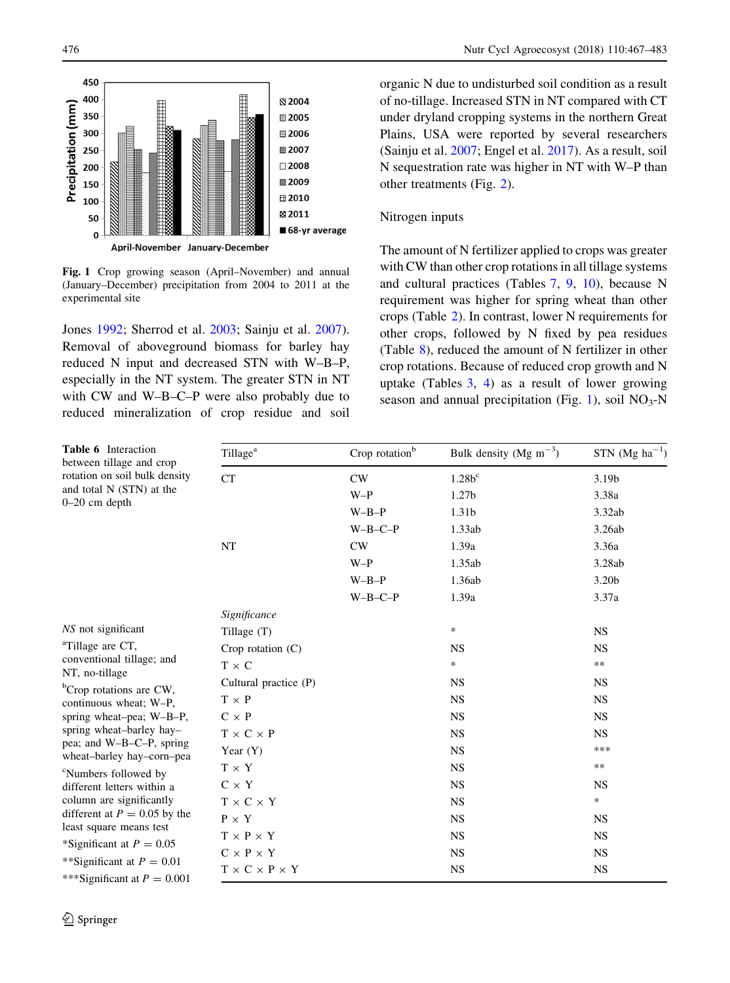<span id="page-9-0"></span>

Fig. 1 Crop growing season (April–November) and annual (January–December) precipitation from 2004 to 2011 at the experimental site

Jones [1992](#page-15-0); Sherrod et al. [2003](#page-16-0); Sainju et al. [2007](#page-16-0)). Removal of aboveground biomass for barley hay reduced N input and decreased STN with W–B–P, especially in the NT system. The greater STN in NT with CW and W–B–C–P were also probably due to reduced mineralization of crop residue and soil organic N due to undisturbed soil condition as a result of no-tillage. Increased STN in NT compared with CT under dryland cropping systems in the northern Great Plains, USA were reported by several researchers (Sainju et al. [2007;](#page-16-0) Engel et al. [2017](#page-15-0)). As a result, soil N sequestration rate was higher in NT with W–P than other treatments (Fig. [2](#page-10-0)).

## Nitrogen inputs

The amount of N fertilizer applied to crops was greater with CW than other crop rotations in all tillage systems and cultural practices (Tables [7,](#page-11-0) [9,](#page-13-0) [10\)](#page-14-0), because N requirement was higher for spring wheat than other crops (Table [2](#page-3-0)). In contrast, lower N requirements for other crops, followed by N fixed by pea residues (Table [8](#page-12-0)), reduced the amount of N fertilizer in other crop rotations. Because of reduced crop growth and N uptake (Tables [3,](#page-7-0) [4](#page-8-0)) as a result of lower growing season and annual precipitation (Fig. 1), soil  $NO<sub>3</sub>-N$ 

| <b>Table 6</b> Interaction<br>between tillage and crop    | Crop rotation <sup>b</sup><br>Tillage <sup>a</sup> |           | Bulk density (Mg $m^{-3}$ ) | STN $(Mg \text{ ha}^{-1})$ |  |
|-----------------------------------------------------------|----------------------------------------------------|-----------|-----------------------------|----------------------------|--|
| rotation on soil bulk density                             | CT                                                 | CW        | $1.28b^c$                   | 3.19b                      |  |
| and total N (STN) at the<br>$0-20$ cm depth               |                                                    | $W-P$     | 1.27b                       | 3.38a                      |  |
|                                                           |                                                    | $W-B-P$   | 1.31b                       | 3.32ab                     |  |
|                                                           |                                                    | $W-B-C-P$ | 1.33ab                      | 3.26ab                     |  |
|                                                           | NT                                                 | CW        | 1.39a                       | 3.36a                      |  |
|                                                           |                                                    | $W-P$     | 1.35ab                      | 3.28ab                     |  |
|                                                           |                                                    | $W-B-P$   | 1.36ab                      | 3.20b                      |  |
|                                                           |                                                    | $W-B-C-P$ | 1.39a                       | 3.37a                      |  |
|                                                           | Significance                                       |           |                             |                            |  |
| NS not significant                                        | Tillage (T)                                        |           | $\ast$                      | <b>NS</b>                  |  |
| <sup>a</sup> Tillage are CT,                              | Crop rotation $(C)$                                |           | <b>NS</b>                   | <b>NS</b>                  |  |
| conventional tillage; and<br>NT, no-tillage               | $T \times C$                                       |           | $\ast$                      | $\ast\ast$                 |  |
| <sup>b</sup> Crop rotations are CW,                       | Cultural practice (P)                              |           | <b>NS</b>                   | <b>NS</b>                  |  |
| continuous wheat; W-P,                                    | $T \times P$                                       |           | <b>NS</b>                   | <b>NS</b>                  |  |
| spring wheat-pea; W-B-P,                                  | $C \times P$                                       |           | <b>NS</b>                   | <b>NS</b>                  |  |
| spring wheat-barley hay-                                  | $T \times C \times P$                              |           | <b>NS</b>                   | <b>NS</b>                  |  |
| pea; and W-B-C-P, spring<br>wheat-barley hay-corn-pea     | Year $(Y)$                                         |           | <b>NS</b>                   | ***                        |  |
| <sup>c</sup> Numbers followed by                          | $T \times Y$                                       |           | <b>NS</b>                   | **                         |  |
| different letters within a                                | $C \times Y$                                       |           | <b>NS</b>                   | <b>NS</b>                  |  |
| column are significantly                                  | $T \times C \times Y$                              |           | <b>NS</b>                   | $\ast$                     |  |
| different at $P = 0.05$ by the<br>least square means test | $P \times Y$                                       |           | <b>NS</b>                   | <b>NS</b>                  |  |
| *Significant at $P = 0.05$                                | $T \times P \times Y$                              |           | <b>NS</b>                   | <b>NS</b>                  |  |
| **Significant at $P = 0.01$                               | $C \times P \times Y$                              |           | <b>NS</b>                   | <b>NS</b>                  |  |
| ***Significant at $P = 0.001$                             | $T \times C \times P \times Y$                     |           | <b>NS</b>                   | <b>NS</b>                  |  |
|                                                           |                                                    |           |                             |                            |  |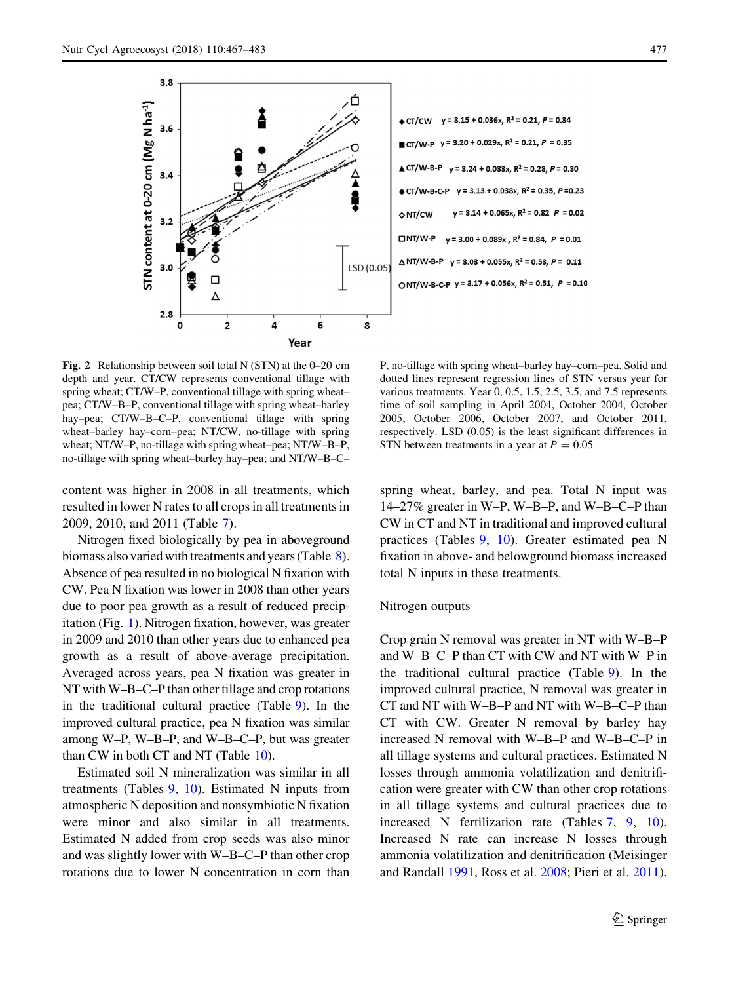<span id="page-10-0"></span>

Fig. 2 Relationship between soil total N (STN) at the 0–20 cm depth and year. CT/CW represents conventional tillage with spring wheat; CT/W–P, conventional tillage with spring wheat– pea; CT/W–B–P, conventional tillage with spring wheat–barley hay–pea; CT/W–B–C–P, conventional tillage with spring wheat–barley hay–corn–pea; NT/CW, no-tillage with spring wheat; NT/W–P, no-tillage with spring wheat–pea; NT/W–B–P, no-tillage with spring wheat–barley hay–pea; and NT/W–B–C–

content was higher in 2008 in all treatments, which resulted in lower N rates to all crops in all treatments in 2009, 2010, and 2011 (Table [7\)](#page-11-0).

Nitrogen fixed biologically by pea in aboveground biomass also varied with treatments and years (Table [8](#page-12-0)). Absence of pea resulted in no biological N fixation with CW. Pea N fixation was lower in 2008 than other years due to poor pea growth as a result of reduced precipitation (Fig. [1\)](#page-9-0). Nitrogen fixation, however, was greater in 2009 and 2010 than other years due to enhanced pea growth as a result of above-average precipitation. Averaged across years, pea N fixation was greater in NT with W–B–C–P than other tillage and crop rotations in the traditional cultural practice (Table [9](#page-13-0)). In the improved cultural practice, pea N fixation was similar among W–P, W–B–P, and W–B–C–P, but was greater than CW in both CT and NT (Table [10\)](#page-14-0).

Estimated soil N mineralization was similar in all treatments (Tables  $9, 10$  $9, 10$ ). Estimated N inputs from atmospheric N deposition and nonsymbiotic N fixation were minor and also similar in all treatments. Estimated N added from crop seeds was also minor and was slightly lower with W–B–C–P than other crop rotations due to lower N concentration in corn than

P, no-tillage with spring wheat–barley hay–corn–pea. Solid and dotted lines represent regression lines of STN versus year for various treatments. Year 0, 0.5, 1.5, 2.5, 3.5, and 7.5 represents time of soil sampling in April 2004, October 2004, October 2005, October 2006, October 2007, and October 2011, respectively. LSD (0.05) is the least significant differences in STN between treatments in a year at  $P = 0.05$ 

spring wheat, barley, and pea. Total N input was 14–27% greater in W–P, W–B–P, and W–B–C–P than CW in CT and NT in traditional and improved cultural practices (Tables [9](#page-13-0), [10\)](#page-14-0). Greater estimated pea N fixation in above- and belowground biomass increased total N inputs in these treatments.

#### Nitrogen outputs

Crop grain N removal was greater in NT with W–B–P and W–B–C–P than CT with CW and NT with W–P in the traditional cultural practice (Table [9](#page-13-0)). In the improved cultural practice, N removal was greater in CT and NT with W–B–P and NT with W–B–C–P than CT with CW. Greater N removal by barley hay increased N removal with W–B–P and W–B–C–P in all tillage systems and cultural practices. Estimated N losses through ammonia volatilization and denitrification were greater with CW than other crop rotations in all tillage systems and cultural practices due to increased N fertilization rate (Tables [7,](#page-11-0) [9,](#page-13-0) [10](#page-14-0)). Increased N rate can increase N losses through ammonia volatilization and denitrification (Meisinger and Randall [1991,](#page-16-0) Ross et al. [2008](#page-16-0); Pieri et al. [2011](#page-16-0)).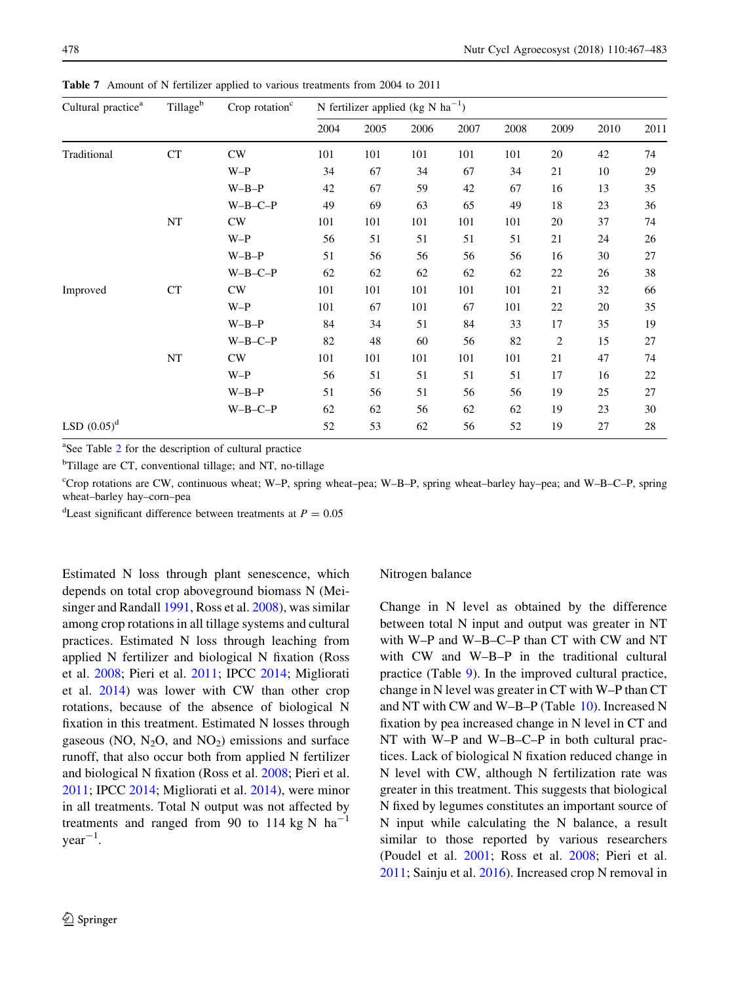| Cultural practice <sup>a</sup> | Tillage <sup>b</sup> | Crop rotation <sup>c</sup> | N fertilizer applied (kg N $ha^{-1}$ ) |      |      |      |      |                |      |      |
|--------------------------------|----------------------|----------------------------|----------------------------------------|------|------|------|------|----------------|------|------|
|                                |                      |                            | 2004                                   | 2005 | 2006 | 2007 | 2008 | 2009           | 2010 | 2011 |
| Traditional                    | CT                   | CW                         | 101                                    | 101  | 101  | 101  | 101  | 20             | 42   | 74   |
|                                |                      | $W-P$                      | 34                                     | 67   | 34   | 67   | 34   | 21             | 10   | 29   |
|                                |                      | $W-B-P$                    | 42                                     | 67   | 59   | 42   | 67   | 16             | 13   | 35   |
|                                |                      | $W-B-C-P$                  | 49                                     | 69   | 63   | 65   | 49   | 18             | 23   | 36   |
|                                | $_{\rm NT}$          | CW                         | 101                                    | 101  | 101  | 101  | 101  | 20             | 37   | 74   |
|                                |                      | $W-P$                      | 56                                     | 51   | 51   | 51   | 51   | 21             | 24   | 26   |
|                                |                      | $W-B-P$                    | 51                                     | 56   | 56   | 56   | 56   | 16             | 30   | 27   |
|                                |                      | $W-B-C-P$                  | 62                                     | 62   | 62   | 62   | 62   | 22             | 26   | 38   |
| Improved                       | CT                   | CW                         | 101                                    | 101  | 101  | 101  | 101  | 21             | 32   | 66   |
|                                |                      | $W-P$                      | 101                                    | 67   | 101  | 67   | 101  | 22             | 20   | 35   |
|                                |                      | $W-B-P$                    | 84                                     | 34   | 51   | 84   | 33   | 17             | 35   | 19   |
|                                |                      | $W-B-C-P$                  | 82                                     | 48   | 60   | 56   | 82   | $\overline{2}$ | 15   | 27   |
|                                | NT                   | CW                         | 101                                    | 101  | 101  | 101  | 101  | 21             | 47   | 74   |
|                                |                      | $W-P$                      | 56                                     | 51   | 51   | 51   | 51   | 17             | 16   | 22   |
|                                |                      | $W-B-P$                    | 51                                     | 56   | 51   | 56   | 56   | 19             | 25   | 27   |
|                                |                      | $W-B-C-P$                  | 62                                     | 62   | 56   | 62   | 62   | 19             | 23   | 30   |
| LSD $(0.05)^d$                 |                      |                            | 52                                     | 53   | 62   | 56   | 52   | 19             | 27   | 28   |

<span id="page-11-0"></span>Table 7 Amount of N fertilizer applied to various treatments from 2004 to 2011

a See Table [2](#page-3-0) for the description of cultural practice

<sup>b</sup>Tillage are CT, conventional tillage; and NT, no-tillage

c Crop rotations are CW, continuous wheat; W–P, spring wheat–pea; W–B–P, spring wheat–barley hay–pea; and W–B–C–P, spring wheat–barley hay–corn–pea

<sup>d</sup>Least significant difference between treatments at  $P = 0.05$ 

Estimated N loss through plant senescence, which depends on total crop aboveground biomass N (Meisinger and Randall [1991,](#page-16-0) Ross et al. [2008](#page-16-0)), was similar among crop rotations in all tillage systems and cultural practices. Estimated N loss through leaching from applied N fertilizer and biological N fixation (Ross et al. [2008;](#page-16-0) Pieri et al. [2011](#page-16-0); IPCC [2014](#page-15-0); Migliorati et al. [2014](#page-16-0)) was lower with CW than other crop rotations, because of the absence of biological N fixation in this treatment. Estimated N losses through gaseous (NO,  $N_2O$ , and  $NO_2$ ) emissions and surface runoff, that also occur both from applied N fertilizer and biological N fixation (Ross et al. [2008](#page-16-0); Pieri et al. [2011;](#page-16-0) IPCC [2014;](#page-15-0) Migliorati et al. [2014\)](#page-16-0), were minor in all treatments. Total N output was not affected by treatments and ranged from 90 to 114 kg N  $\text{ha}^{-1}$  $year^{-1}$ .

## Nitrogen balance

Change in N level as obtained by the difference between total N input and output was greater in NT with W–P and W–B–C–P than CT with CW and NT with CW and W–B–P in the traditional cultural practice (Table [9](#page-13-0)). In the improved cultural practice, change in N level was greater in CT with W–P than CT and NT with CW and W–B–P (Table [10\)](#page-14-0). Increased N fixation by pea increased change in N level in CT and NT with W–P and W–B–C–P in both cultural practices. Lack of biological N fixation reduced change in N level with CW, although N fertilization rate was greater in this treatment. This suggests that biological N fixed by legumes constitutes an important source of N input while calculating the N balance, a result similar to those reported by various researchers (Poudel et al. [2001;](#page-16-0) Ross et al. [2008;](#page-16-0) Pieri et al. [2011;](#page-16-0) Sainju et al. [2016](#page-16-0)). Increased crop N removal in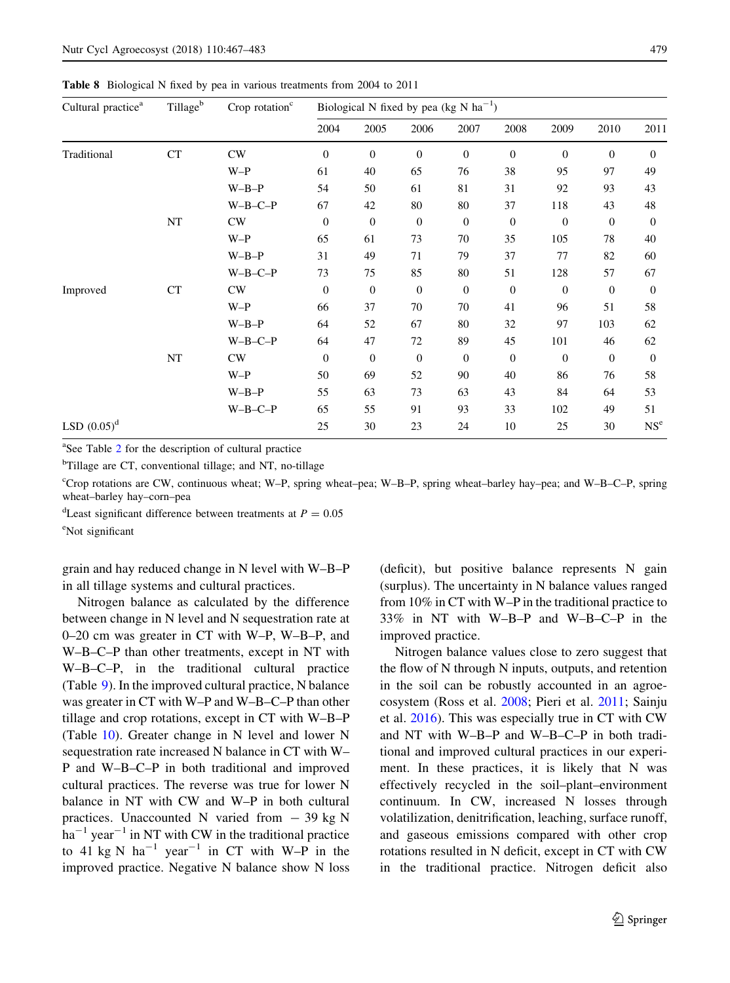<span id="page-12-0"></span>Table 8 Biological N fixed by pea in various treatments from 2004 to 2011

| Cultural practice <sup>a</sup> | $\operatorname{Tillage}^b$ | Crop rotation $c$ |                  |                  | Biological N fixed by pea (kg N $ha^{-1}$ ) |                  |                  |                |              |                 |  |
|--------------------------------|----------------------------|-------------------|------------------|------------------|---------------------------------------------|------------------|------------------|----------------|--------------|-----------------|--|
|                                |                            |                   | 2004             | 2005             | 2006                                        | 2007             | 2008             | 2009           | 2010         | 2011            |  |
| Traditional                    | <b>CT</b>                  | CW                | $\theta$         | $\theta$         | $\mathbf{0}$                                | $\overline{0}$   | $\theta$         | $\overline{0}$ | $\theta$     | $\Omega$        |  |
|                                |                            | $W-P$             | 61               | 40               | 65                                          | 76               | 38               | 95             | 97           | 49              |  |
|                                |                            | $W-B-P$           | 54               | 50               | 61                                          | 81               | 31               | 92             | 93           | 43              |  |
|                                |                            | $W-B-C-P$         | 67               | 42               | 80                                          | 80               | 37               | 118            | 43           | 48              |  |
|                                | NT                         | CW                | $\boldsymbol{0}$ | $\boldsymbol{0}$ | $\boldsymbol{0}$                            | $\mathbf{0}$     | $\boldsymbol{0}$ | $\mathbf{0}$   | $\mathbf{0}$ | $\theta$        |  |
|                                |                            | $W-P$             | 65               | 61               | 73                                          | 70               | 35               | 105            | 78           | 40              |  |
|                                |                            | $W-B-P$           | 31               | 49               | 71                                          | 79               | 37               | 77             | 82           | 60              |  |
|                                |                            | $W-B-C-P$         | 73               | 75               | 85                                          | 80               | 51               | 128            | 57           | 67              |  |
| Improved                       | CT                         | CW                | $\theta$         | $\boldsymbol{0}$ | $\boldsymbol{0}$                            | $\theta$         | $\theta$         | $\overline{0}$ | $\theta$     | $\theta$        |  |
|                                |                            | $W-P$             | 66               | 37               | 70                                          | 70               | 41               | 96             | 51           | 58              |  |
|                                |                            | $W-B-P$           | 64               | 52               | 67                                          | 80               | 32               | 97             | 103          | 62              |  |
|                                |                            | $W-B-C-P$         | 64               | 47               | 72                                          | 89               | 45               | 101            | 46           | 62              |  |
|                                | NT                         | CW                | $\boldsymbol{0}$ | $\boldsymbol{0}$ | $\boldsymbol{0}$                            | $\boldsymbol{0}$ | $\boldsymbol{0}$ | $\mathbf{0}$   | $\mathbf{0}$ | $\theta$        |  |
|                                |                            | $W-P$             | 50               | 69               | 52                                          | 90               | 40               | 86             | 76           | 58              |  |
|                                |                            | $W-B-P$           | 55               | 63               | 73                                          | 63               | 43               | 84             | 64           | 53              |  |
|                                |                            | $W-B-C-P$         | 65               | 55               | 91                                          | 93               | 33               | 102            | 49           | 51              |  |
| LSD $(0.05)^d$                 |                            |                   | 25               | 30               | 23                                          | 24               | 10               | 25             | 30           | NS <sup>e</sup> |  |

a See Table [2](#page-3-0) for the description of cultural practice

<sup>b</sup>Tillage are CT, conventional tillage; and NT, no-tillage

c Crop rotations are CW, continuous wheat; W–P, spring wheat–pea; W–B–P, spring wheat–barley hay–pea; and W–B–C–P, spring wheat–barley hay–corn–pea

<sup>d</sup>Least significant difference between treatments at  $P = 0.05$ 

e Not significant

grain and hay reduced change in N level with W–B–P in all tillage systems and cultural practices.

Nitrogen balance as calculated by the difference between change in N level and N sequestration rate at 0–20 cm was greater in CT with W–P, W–B–P, and W–B–C–P than other treatments, except in NT with W–B–C–P, in the traditional cultural practice (Table [9](#page-13-0)). In the improved cultural practice, N balance was greater in CT with W–P and W–B–C–P than other tillage and crop rotations, except in CT with W–B–P (Table [10](#page-14-0)). Greater change in N level and lower N sequestration rate increased N balance in CT with W– P and W–B–C–P in both traditional and improved cultural practices. The reverse was true for lower N balance in NT with CW and W–P in both cultural practices. Unaccounted N varied from  $-39$  kg N  $ha^{-1}$  year<sup>-1</sup> in NT with CW in the traditional practice to 41 kg N  $ha^{-1}$  year<sup>-1</sup> in CT with W-P in the improved practice. Negative N balance show N loss (deficit), but positive balance represents N gain (surplus). The uncertainty in N balance values ranged from 10% in CT with W–P in the traditional practice to 33% in NT with W–B–P and W–B–C–P in the improved practice.

Nitrogen balance values close to zero suggest that the flow of N through N inputs, outputs, and retention in the soil can be robustly accounted in an agroecosystem (Ross et al. [2008;](#page-16-0) Pieri et al. [2011](#page-16-0); Sainju et al. [2016\)](#page-16-0). This was especially true in CT with CW and NT with W–B–P and W–B–C–P in both traditional and improved cultural practices in our experiment. In these practices, it is likely that N was effectively recycled in the soil–plant–environment continuum. In CW, increased N losses through volatilization, denitrification, leaching, surface runoff, and gaseous emissions compared with other crop rotations resulted in N deficit, except in CT with CW in the traditional practice. Nitrogen deficit also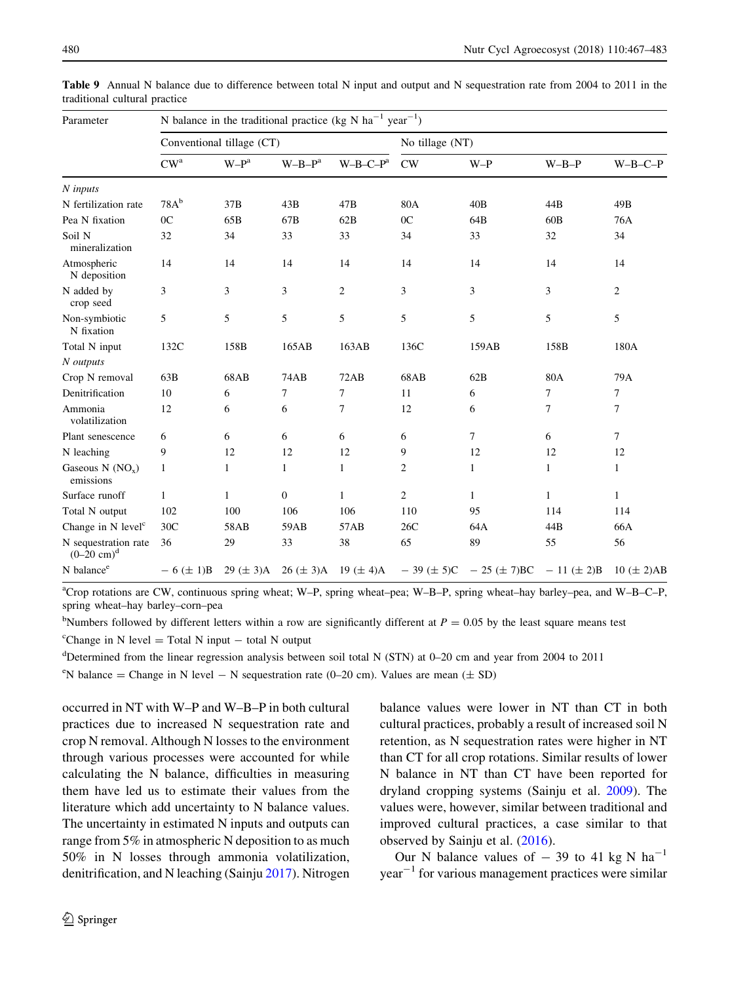| Parameter                                     | N balance in the traditional practice (kg N $ha^{-1}$ year <sup>-1</sup> ) |                           |                |                |                  |                               |              |                   |  |  |  |
|-----------------------------------------------|----------------------------------------------------------------------------|---------------------------|----------------|----------------|------------------|-------------------------------|--------------|-------------------|--|--|--|
|                                               |                                                                            | Conventional tillage (CT) |                |                | No tillage (NT)  |                               |              |                   |  |  |  |
|                                               | $CW^a$                                                                     | $W-Pa$                    | $W-B-Pa$       | $W-B-C-Pa$     | CW               | $W-P$                         | $W-B-P$      | $W-B-C-P$         |  |  |  |
| N inputs                                      |                                                                            |                           |                |                |                  |                               |              |                   |  |  |  |
| N fertilization rate                          | $78A^b$                                                                    | 37B                       | 43B            | 47B            | 80A              | 40B                           | 44B          | 49B               |  |  |  |
| Pea N fixation                                | 0 <sup>C</sup>                                                             | 65B                       | 67B            | 62B            | 0 <sup>C</sup>   | 64B                           | 60B          | 76A               |  |  |  |
| Soil N<br>mineralization                      | 32                                                                         | 34                        | 33             | 33             | 34               | 33                            | 32           | 34                |  |  |  |
| Atmospheric<br>N deposition                   | 14                                                                         | 14                        | 14             | 14             | 14               | 14                            | 14           | 14                |  |  |  |
| N added by<br>crop seed                       | 3                                                                          | 3                         | 3              | $\overline{c}$ | 3                | 3                             | 3            | $\overline{c}$    |  |  |  |
| Non-symbiotic<br>N fixation                   | 5                                                                          | 5                         | 5              | 5              | 5                | 5                             | 5            | 5                 |  |  |  |
| Total N input                                 | 132C                                                                       | 158B                      | 165AB          | 163AB          | 136C             | 159AB                         | 158B         | 180A              |  |  |  |
| N outputs                                     |                                                                            |                           |                |                |                  |                               |              |                   |  |  |  |
| Crop N removal                                | 63B                                                                        | 68AB                      | 74AB           | 72AB           | 68AB             | 62B                           | 80A          | 79A               |  |  |  |
| Denitrification                               | 10                                                                         | 6                         | 7              | 7              | 11               | 6                             | 7            | $\tau$            |  |  |  |
| Ammonia<br>volatilization                     | 12                                                                         | 6                         | 6              | 7              | 12               | 6                             | 7            | 7                 |  |  |  |
| Plant senescence                              | 6                                                                          | 6                         | 6              | 6              | 6                | 7                             | 6            | $\tau$            |  |  |  |
| N leaching                                    | 9                                                                          | 12                        | 12             | 12             | 9                | 12                            | 12           | 12                |  |  |  |
| Gaseous $N (NOx)$<br>emissions                | $\mathbf{1}$                                                               | $\mathbf{1}$              | 1              | $\mathbf{1}$   | $\overline{2}$   | $\mathbf{1}$                  | $\mathbf{1}$ | 1                 |  |  |  |
| Surface runoff                                | $\mathbf{1}$                                                               | $\mathbf{1}$              | $\overline{0}$ | $\mathbf{1}$   | $\overline{c}$   | 1                             | $\mathbf{1}$ | $\mathbf{1}$      |  |  |  |
| Total N output                                | 102                                                                        | 100                       | 106            | 106            | 110              | 95                            | 114          | 114               |  |  |  |
| Change in N level <sup>c</sup>                | 30C                                                                        | 58AB                      | 59AB           | 57AB           | 26C              | 64A                           | 44B          | 66A               |  |  |  |
| N sequestration rate<br>$(0-20 \text{ cm})^d$ | 36                                                                         | 29                        | 33             | 38             | 65               | 89                            | 55           | 56                |  |  |  |
| N balance <sup>e</sup>                        | $-6 (\pm 1)B$                                                              | $29 (\pm 3)$ A            | $26 (\pm 3)$ A | 19 ( $\pm$ 4)A | $-39 \ (\pm 5)C$ | $-25 (\pm 7)BC - 11 (\pm 2)B$ |              | $10 \ (\pm 2)$ AB |  |  |  |

<span id="page-13-0"></span>Table 9 Annual N balance due to difference between total N input and output and N sequestration rate from 2004 to 2011 in the traditional cultural practice

a Crop rotations are CW, continuous spring wheat; W–P, spring wheat–pea; W–B–P, spring wheat–hay barley–pea, and W–B–C–P, spring wheat–hay barley–corn–pea

<sup>b</sup>Numbers followed by different letters within a row are significantly different at  $P = 0.05$  by the least square means test

<sup>c</sup>Change in N level = Total N input  $-$  total N output

d Determined from the linear regression analysis between soil total N (STN) at 0–20 cm and year from 2004 to 2011

<sup>e</sup>N balance = Change in N level - N sequestration rate (0-20 cm). Values are mean ( $\pm$  SD)

occurred in NT with W–P and W–B–P in both cultural practices due to increased N sequestration rate and crop N removal. Although N losses to the environment through various processes were accounted for while calculating the N balance, difficulties in measuring them have led us to estimate their values from the literature which add uncertainty to N balance values. The uncertainty in estimated N inputs and outputs can range from 5% in atmospheric N deposition to as much 50% in N losses through ammonia volatilization, denitrification, and N leaching (Sainju [2017](#page-16-0)). Nitrogen balance values were lower in NT than CT in both cultural practices, probably a result of increased soil N retention, as N sequestration rates were higher in NT than CT for all crop rotations. Similar results of lower N balance in NT than CT have been reported for dryland cropping systems (Sainju et al. [2009\)](#page-16-0). The values were, however, similar between traditional and improved cultural practices, a case similar to that observed by Sainju et al. ([2016\)](#page-16-0).

Our N balance values of  $-39$  to 41 kg N ha<sup>-1</sup>  $year<sup>-1</sup>$  for various management practices were similar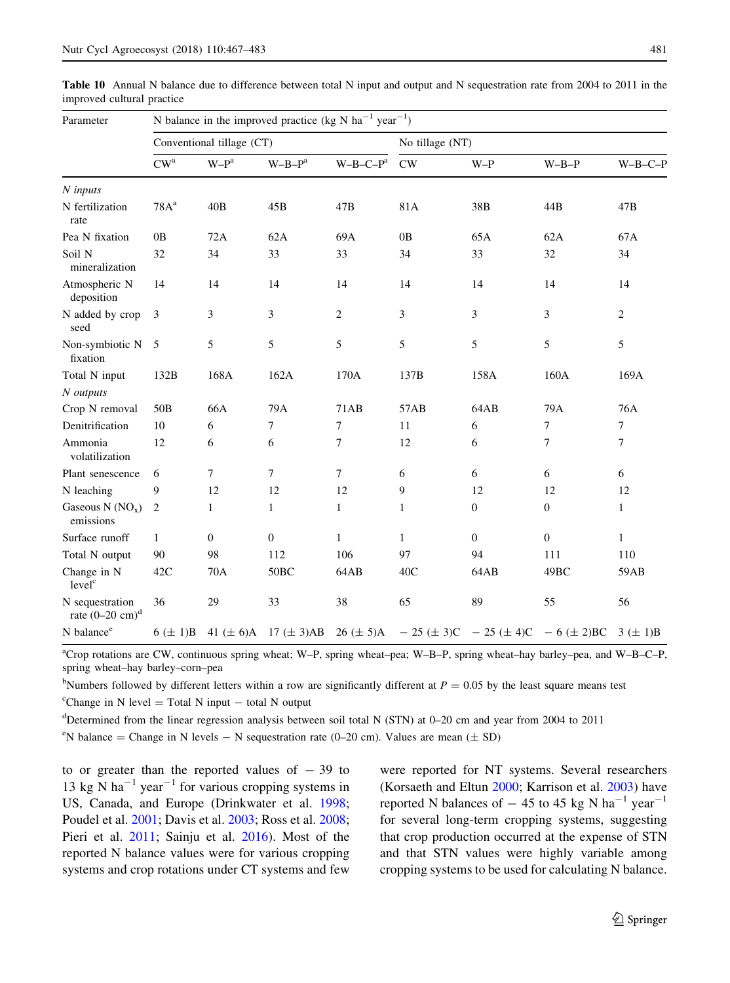| Parameter                                        | N balance in the improved practice (kg N $ha^{-1}$ year <sup>-1</sup> ) |                           |                                |                |                 |                                            |                  |                |  |  |  |
|--------------------------------------------------|-------------------------------------------------------------------------|---------------------------|--------------------------------|----------------|-----------------|--------------------------------------------|------------------|----------------|--|--|--|
|                                                  |                                                                         | Conventional tillage (CT) |                                |                | No tillage (NT) |                                            |                  |                |  |  |  |
|                                                  | $\mathrm{CW}^\mathrm{a}$                                                | $W-P^a$                   | $W-B-P^a$                      | $W-B-C-Pa$     | $\mathrm{CW}$   | $W-P$                                      | $W-B-P$          | $W-B-C-P$      |  |  |  |
| $N$ inputs                                       |                                                                         |                           |                                |                |                 |                                            |                  |                |  |  |  |
| N fertilization<br>rate                          | 78A <sup>a</sup>                                                        | 40B                       | 45B                            | 47B            | 81A             | 38B                                        | 44B              | 47B            |  |  |  |
| Pea N fixation                                   | 0B                                                                      | 72A                       | 62A                            | 69A            | 0B              | 65A                                        | 62A              | 67A            |  |  |  |
| Soil N<br>mineralization                         | 32                                                                      | 34                        | 33                             | 33             | 34              | 33                                         | 32               | 34             |  |  |  |
| Atmospheric N<br>deposition                      | 14                                                                      | 14                        | 14                             | 14             | 14              | 14                                         | 14               | 14             |  |  |  |
| N added by crop<br>seed                          | 3                                                                       | 3                         | 3                              | $\overline{c}$ | 3               | 3                                          | 3                | $\overline{c}$ |  |  |  |
| Non-symbiotic N<br>fixation                      | 5                                                                       | 5                         | 5                              | 5              | 5               | 5                                          | 5                | 5              |  |  |  |
| Total N input                                    | 132B                                                                    | 168A                      | 162A                           | 170A           | 137B            | 158A                                       | 160A             | 169A           |  |  |  |
| N outputs                                        |                                                                         |                           |                                |                |                 |                                            |                  |                |  |  |  |
| Crop N removal                                   | 50 <sub>B</sub>                                                         | 66A                       | 79A                            | 71AB           | 57AB            | 64AB                                       | 79A              | 76A            |  |  |  |
| Denitrification                                  | 10                                                                      | 6                         | $\overline{7}$                 | $\tau$         | 11              | 6                                          | $\overline{7}$   | $\tau$         |  |  |  |
| Ammonia<br>volatilization                        | 12                                                                      | 6                         | 6                              | 7              | 12              | 6                                          | $\overline{7}$   | $\overline{7}$ |  |  |  |
| Plant senescence                                 | 6                                                                       | 7                         | $\tau$                         | 7              | 6               | 6                                          | 6                | 6              |  |  |  |
| N leaching                                       | 9                                                                       | 12                        | 12                             | 12             | 9               | 12                                         | 12               | 12             |  |  |  |
| Gaseous N $(NO_x)$<br>emissions                  | $\overline{2}$                                                          | $\mathbf{1}$              | $\mathbf{1}$                   | $\mathbf{1}$   | $\mathbf{1}$    | $\mathbf{0}$                               | $\mathbf{0}$     | $\mathbf{1}$   |  |  |  |
| Surface runoff                                   | $\mathbf{1}$                                                            | $\boldsymbol{0}$          | $\boldsymbol{0}$               | $\mathbf{1}$   | $\mathbf{1}$    | $\mathbf{0}$                               | $\boldsymbol{0}$ | $\mathbf{1}$   |  |  |  |
| Total N output                                   | 90                                                                      | 98                        | 112                            | 106            | 97              | 94                                         | 111              | 110            |  |  |  |
| Change in N<br>level <sup>c</sup>                | 42C                                                                     | 70A                       | 50 <sub>BC</sub>               | 64AB           | 40C             | 64AB                                       | 49BC             | 59AB           |  |  |  |
| N sequestration<br>rate $(0-20$ cm) <sup>d</sup> | 36                                                                      | 29                        | 33                             | 38             | 65              | 89                                         | 55               | 56             |  |  |  |
| N balance <sup>e</sup>                           | $6 (\pm 1)B$                                                            |                           | 41 $(\pm 6)$ A 17 $(\pm 3)$ AB | $26 (\pm 5)$ A |                 | $-25 (\pm 3)C - 25 (\pm 4)C - 6 (\pm 2)BC$ |                  | $3 (\pm 1)B$   |  |  |  |

<span id="page-14-0"></span>Table 10 Annual N balance due to difference between total N input and output and N sequestration rate from 2004 to 2011 in the improved cultural practice

<sup>a</sup>Crop rotations are CW, continuous spring wheat; W-P, spring wheat-pea; W-B-P, spring wheat-hay barley-pea, and W-B-C-P, spring wheat–hay barley–corn–pea

<sup>b</sup>Numbers followed by different letters within a row are significantly different at  $P = 0.05$  by the least square means test

 ${}^{\text{c}}$ Change in N level = Total N input – total N output

d Determined from the linear regression analysis between soil total N (STN) at 0–20 cm and year from 2004 to 2011

<sup>e</sup>N balance = Change in N levels - N sequestration rate (0-20 cm). Values are mean ( $\pm$  SD)

to or greater than the reported values of  $-39$  to 13 kg N ha<sup>-1</sup> year<sup>-1</sup> for various cropping systems in US, Canada, and Europe (Drinkwater et al. [1998](#page-15-0); Poudel et al. [2001;](#page-16-0) Davis et al. [2003;](#page-15-0) Ross et al. [2008](#page-16-0); Pieri et al. [2011;](#page-16-0) Sainju et al. [2016](#page-16-0)). Most of the reported N balance values were for various cropping systems and crop rotations under CT systems and few were reported for NT systems. Several researchers (Korsaeth and Eltun [2000](#page-16-0); Karrison et al. [2003](#page-16-0)) have reported N balances of  $-45$  to 45 kg N ha<sup>-1</sup> year<sup>-1</sup> for several long-term cropping systems, suggesting that crop production occurred at the expense of STN and that STN values were highly variable among cropping systems to be used for calculating N balance.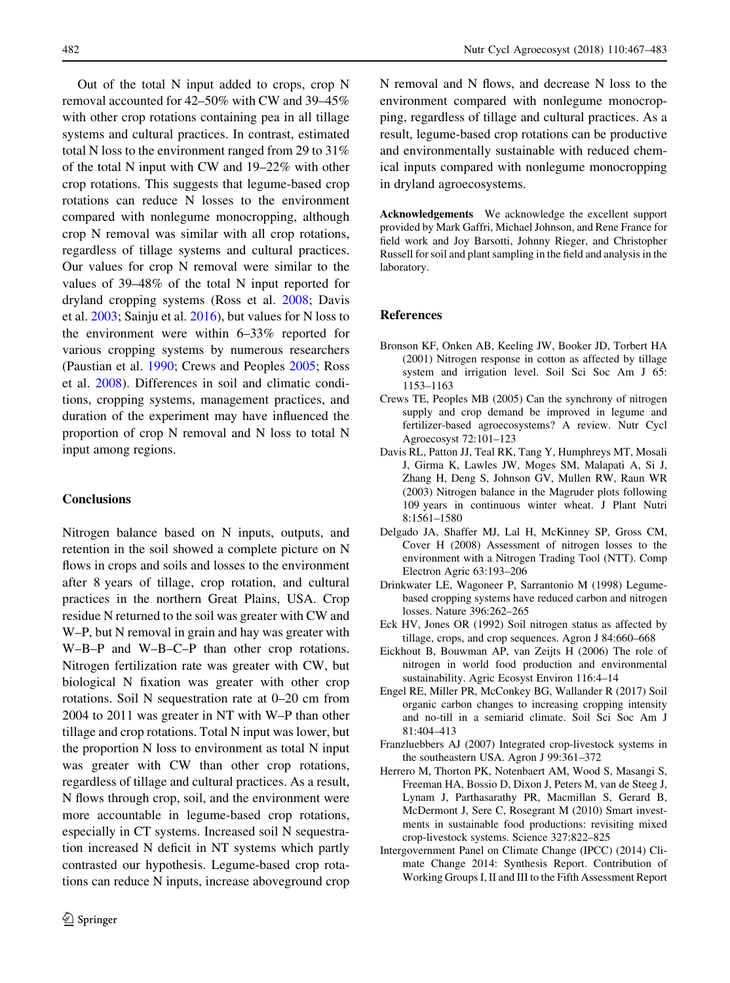<span id="page-15-0"></span>Out of the total N input added to crops, crop N removal accounted for 42–50% with CW and 39–45% with other crop rotations containing pea in all tillage systems and cultural practices. In contrast, estimated total N loss to the environment ranged from 29 to 31% of the total N input with CW and 19–22% with other crop rotations. This suggests that legume-based crop rotations can reduce N losses to the environment compared with nonlegume monocropping, although crop N removal was similar with all crop rotations, regardless of tillage systems and cultural practices. Our values for crop N removal were similar to the values of 39–48% of the total N input reported for dryland cropping systems (Ross et al. [2008;](#page-16-0) Davis et al. 2003; Sainju et al. [2016\)](#page-16-0), but values for N loss to the environment were within 6–33% reported for various cropping systems by numerous researchers (Paustian et al. [1990;](#page-16-0) Crews and Peoples 2005; Ross et al. [2008\)](#page-16-0). Differences in soil and climatic conditions, cropping systems, management practices, and duration of the experiment may have influenced the proportion of crop N removal and N loss to total N input among regions.

# **Conclusions**

Nitrogen balance based on N inputs, outputs, and retention in the soil showed a complete picture on N flows in crops and soils and losses to the environment after 8 years of tillage, crop rotation, and cultural practices in the northern Great Plains, USA. Crop residue N returned to the soil was greater with CW and W–P, but N removal in grain and hay was greater with W–B–P and W–B–C–P than other crop rotations. Nitrogen fertilization rate was greater with CW, but biological N fixation was greater with other crop rotations. Soil N sequestration rate at 0–20 cm from 2004 to 2011 was greater in NT with W–P than other tillage and crop rotations. Total N input was lower, but the proportion N loss to environment as total N input was greater with CW than other crop rotations, regardless of tillage and cultural practices. As a result, N flows through crop, soil, and the environment were more accountable in legume-based crop rotations, especially in CT systems. Increased soil N sequestration increased N deficit in NT systems which partly contrasted our hypothesis. Legume-based crop rotations can reduce N inputs, increase aboveground crop

N removal and N flows, and decrease N loss to the environment compared with nonlegume monocropping, regardless of tillage and cultural practices. As a result, legume-based crop rotations can be productive and environmentally sustainable with reduced chemical inputs compared with nonlegume monocropping in dryland agroecosystems.

Acknowledgements We acknowledge the excellent support provided by Mark Gaffri, Michael Johnson, and Rene France for field work and Joy Barsotti, Johnny Rieger, and Christopher Russell for soil and plant sampling in the field and analysis in the laboratory.

#### References

- Bronson KF, Onken AB, Keeling JW, Booker JD, Torbert HA (2001) Nitrogen response in cotton as affected by tillage system and irrigation level. Soil Sci Soc Am J 65: 1153–1163
- Crews TE, Peoples MB (2005) Can the synchrony of nitrogen supply and crop demand be improved in legume and fertilizer-based agroecosystems? A review. Nutr Cycl Agroecosyst 72:101–123
- Davis RL, Patton JJ, Teal RK, Tang Y, Humphreys MT, Mosali J, Girma K, Lawles JW, Moges SM, Malapati A, Si J, Zhang H, Deng S, Johnson GV, Mullen RW, Raun WR (2003) Nitrogen balance in the Magruder plots following 109 years in continuous winter wheat. J Plant Nutri 8:1561–1580
- Delgado JA, Shaffer MJ, Lal H, McKinney SP, Gross CM, Cover H (2008) Assessment of nitrogen losses to the environment with a Nitrogen Trading Tool (NTT). Comp Electron Agric 63:193–206
- Drinkwater LE, Wagoneer P, Sarrantonio M (1998) Legumebased cropping systems have reduced carbon and nitrogen losses. Nature 396:262–265
- Eck HV, Jones OR (1992) Soil nitrogen status as affected by tillage, crops, and crop sequences. Agron J 84:660–668
- Eickhout B, Bouwman AP, van Zeijts H (2006) The role of nitrogen in world food production and environmental sustainability. Agric Ecosyst Environ 116:4–14
- Engel RE, Miller PR, McConkey BG, Wallander R (2017) Soil organic carbon changes to increasing cropping intensity and no-till in a semiarid climate. Soil Sci Soc Am J 81:404–413
- Franzluebbers AJ (2007) Integrated crop-livestock systems in the southeastern USA. Agron J 99:361–372
- Herrero M, Thorton PK, Notenbaert AM, Wood S, Masangi S, Freeman HA, Bossio D, Dixon J, Peters M, van de Steeg J, Lynam J, Parthasarathy PR, Macmillan S, Gerard B, McDermont J, Sere C, Rosegrant M (2010) Smart investments in sustainable food productions: revisiting mixed crop-livestock systems. Science 327:822–825
- Intergovernment Panel on Climate Change (IPCC) (2014) Climate Change 2014: Synthesis Report. Contribution of Working Groups I, II and III to the Fifth Assessment Report